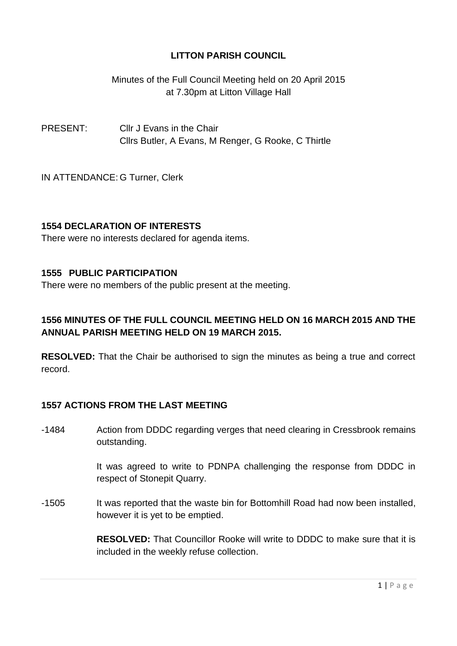Minutes of the Full Council Meeting held on 20 April 2015 at 7.30pm at Litton Village Hall

PRESENT: Cllr J Evans in the Chair Cllrs Butler, A Evans, M Renger, G Rooke, C Thirtle

IN ATTENDANCE: G Turner, Clerk

## **1554 DECLARATION OF INTERESTS**

There were no interests declared for agenda items.

### **1555 PUBLIC PARTICIPATION**

There were no members of the public present at the meeting.

## **1556 MINUTES OF THE FULL COUNCIL MEETING HELD ON 16 MARCH 2015 AND THE ANNUAL PARISH MEETING HELD ON 19 MARCH 2015.**

**RESOLVED:** That the Chair be authorised to sign the minutes as being a true and correct record.

## **1557 ACTIONS FROM THE LAST MEETING**

-1484 Action from DDDC regarding verges that need clearing in Cressbrook remains outstanding.

> It was agreed to write to PDNPA challenging the response from DDDC in respect of Stonepit Quarry.

-1505 It was reported that the waste bin for Bottomhill Road had now been installed, however it is yet to be emptied.

> **RESOLVED:** That Councillor Rooke will write to DDDC to make sure that it is included in the weekly refuse collection.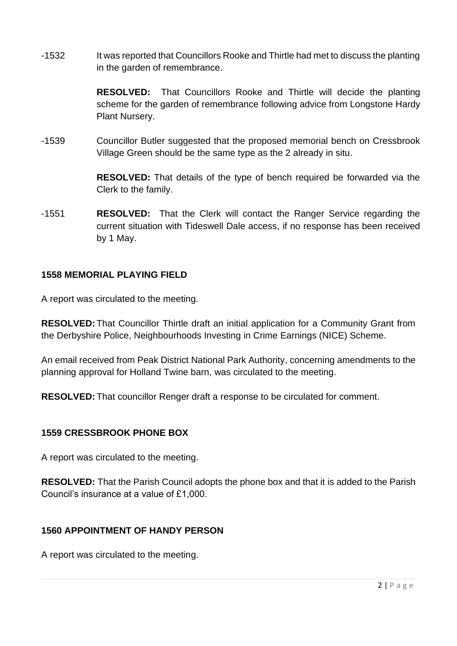-1532 It was reported that Councillors Rooke and Thirtle had met to discuss the planting in the garden of remembrance.

> **RESOLVED:** That Councillors Rooke and Thirtle will decide the planting scheme for the garden of remembrance following advice from Longstone Hardy Plant Nursery.

-1539 Councillor Butler suggested that the proposed memorial bench on Cressbrook Village Green should be the same type as the 2 already in situ.

> **RESOLVED:** That details of the type of bench required be forwarded via the Clerk to the family.

-1551 **RESOLVED:** That the Clerk will contact the Ranger Service regarding the current situation with Tideswell Dale access, if no response has been received by 1 May.

### **1558 MEMORIAL PLAYING FIELD**

A report was circulated to the meeting.

**RESOLVED:** That Councillor Thirtle draft an initial application for a Community Grant from the Derbyshire Police, Neighbourhoods Investing in Crime Earnings (NICE) Scheme.

An email received from Peak District National Park Authority, concerning amendments to the planning approval for Holland Twine barn, was circulated to the meeting.

**RESOLVED:** That councillor Renger draft a response to be circulated for comment.

## **1559 CRESSBROOK PHONE BOX**

A report was circulated to the meeting.

**RESOLVED:** That the Parish Council adopts the phone box and that it is added to the Parish Council's insurance at a value of £1,000.

## **1560 APPOINTMENT OF HANDY PERSON**

A report was circulated to the meeting.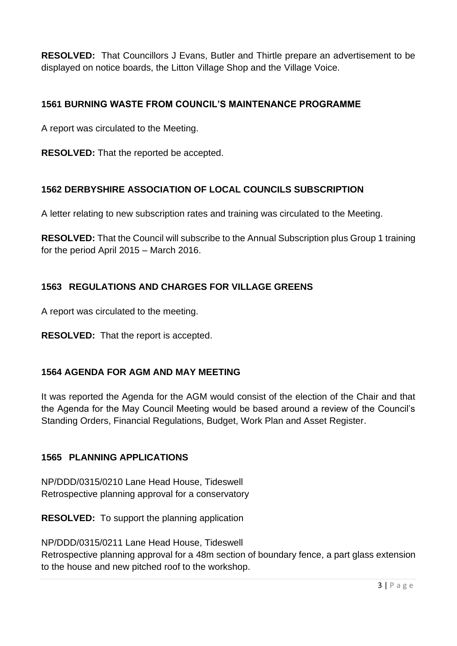**RESOLVED:** That Councillors J Evans, Butler and Thirtle prepare an advertisement to be displayed on notice boards, the Litton Village Shop and the Village Voice.

## **1561 BURNING WASTE FROM COUNCIL'S MAINTENANCE PROGRAMME**

A report was circulated to the Meeting.

**RESOLVED:** That the reported be accepted.

## **1562 DERBYSHIRE ASSOCIATION OF LOCAL COUNCILS SUBSCRIPTION**

A letter relating to new subscription rates and training was circulated to the Meeting.

**RESOLVED:** That the Council will subscribe to the Annual Subscription plus Group 1 training for the period April 2015 – March 2016.

## **1563 REGULATIONS AND CHARGES FOR VILLAGE GREENS**

A report was circulated to the meeting.

**RESOLVED:** That the report is accepted.

## **1564 AGENDA FOR AGM AND MAY MEETING**

It was reported the Agenda for the AGM would consist of the election of the Chair and that the Agenda for the May Council Meeting would be based around a review of the Council's Standing Orders, Financial Regulations, Budget, Work Plan and Asset Register.

## **1565 PLANNING APPLICATIONS**

NP/DDD/0315/0210 Lane Head House, Tideswell Retrospective planning approval for a conservatory

**RESOLVED:** To support the planning application

NP/DDD/0315/0211 Lane Head House, Tideswell Retrospective planning approval for a 48m section of boundary fence, a part glass extension

to the house and new pitched roof to the workshop.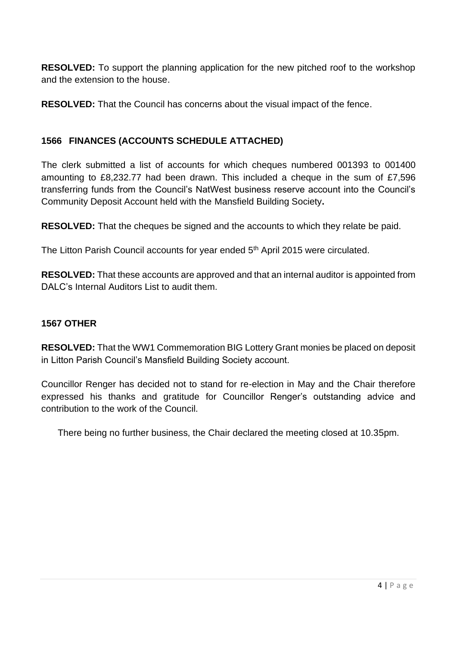**RESOLVED:** To support the planning application for the new pitched roof to the workshop and the extension to the house.

**RESOLVED:** That the Council has concerns about the visual impact of the fence.

## **1566 FINANCES (ACCOUNTS SCHEDULE ATTACHED)**

The clerk submitted a list of accounts for which cheques numbered 001393 to 001400 amounting to £8,232.77 had been drawn. This included a cheque in the sum of £7,596 transferring funds from the Council's NatWest business reserve account into the Council's Community Deposit Account held with the Mansfield Building Society**.**

**RESOLVED:** That the cheques be signed and the accounts to which they relate be paid.

The Litton Parish Council accounts for year ended 5<sup>th</sup> April 2015 were circulated.

**RESOLVED:** That these accounts are approved and that an internal auditor is appointed from DALC's Internal Auditors List to audit them.

## **1567 OTHER**

**RESOLVED:** That the WW1 Commemoration BIG Lottery Grant monies be placed on deposit in Litton Parish Council's Mansfield Building Society account.

Councillor Renger has decided not to stand for re-election in May and the Chair therefore expressed his thanks and gratitude for Councillor Renger's outstanding advice and contribution to the work of the Council.

There being no further business, the Chair declared the meeting closed at 10.35pm.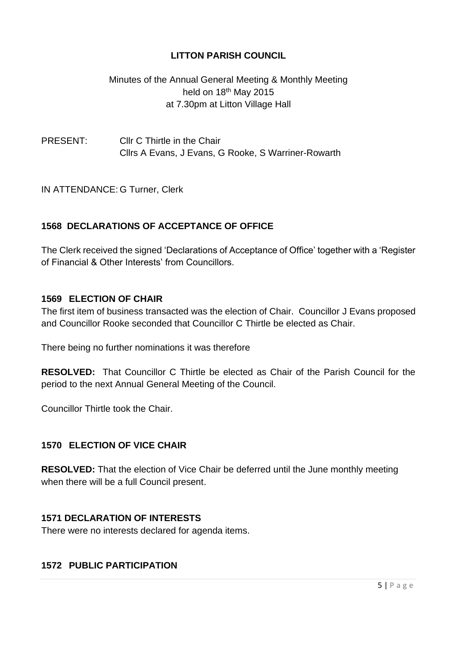## Minutes of the Annual General Meeting & Monthly Meeting held on 18<sup>th</sup> May 2015 at 7.30pm at Litton Village Hall

## PRESENT: Cllr C Thirtle in the Chair Cllrs A Evans, J Evans, G Rooke, S Warriner-Rowarth

IN ATTENDANCE: G Turner, Clerk

## **1568 DECLARATIONS OF ACCEPTANCE OF OFFICE**

The Clerk received the signed 'Declarations of Acceptance of Office' together with a 'Register of Financial & Other Interests' from Councillors.

#### **1569 ELECTION OF CHAIR**

The first item of business transacted was the election of Chair. Councillor J Evans proposed and Councillor Rooke seconded that Councillor C Thirtle be elected as Chair.

There being no further nominations it was therefore

**RESOLVED:** That Councillor C Thirtle be elected as Chair of the Parish Council for the period to the next Annual General Meeting of the Council.

Councillor Thirtle took the Chair.

#### **1570 ELECTION OF VICE CHAIR**

**RESOLVED:** That the election of Vice Chair be deferred until the June monthly meeting when there will be a full Council present.

#### **1571 DECLARATION OF INTERESTS**

There were no interests declared for agenda items.

## **1572 PUBLIC PARTICIPATION**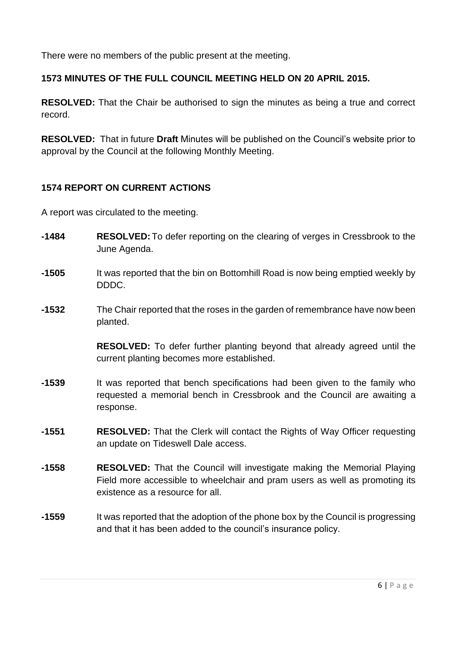There were no members of the public present at the meeting.

## **1573 MINUTES OF THE FULL COUNCIL MEETING HELD ON 20 APRIL 2015.**

**RESOLVED:** That the Chair be authorised to sign the minutes as being a true and correct record.

**RESOLVED:** That in future **Draft** Minutes will be published on the Council's website prior to approval by the Council at the following Monthly Meeting.

## **1574 REPORT ON CURRENT ACTIONS**

A report was circulated to the meeting.

- **-1484 RESOLVED:** To defer reporting on the clearing of verges in Cressbrook to the June Agenda.
- **-1505** It was reported that the bin on Bottomhill Road is now being emptied weekly by DDDC.
- **-1532** The Chair reported that the roses in the garden of remembrance have now been planted.

**RESOLVED:** To defer further planting beyond that already agreed until the current planting becomes more established.

- **-1539** It was reported that bench specifications had been given to the family who requested a memorial bench in Cressbrook and the Council are awaiting a response.
- **-1551 RESOLVED:** That the Clerk will contact the Rights of Way Officer requesting an update on Tideswell Dale access.
- **-1558 RESOLVED:** That the Council will investigate making the Memorial Playing Field more accessible to wheelchair and pram users as well as promoting its existence as a resource for all
- **-1559** It was reported that the adoption of the phone box by the Council is progressing and that it has been added to the council's insurance policy.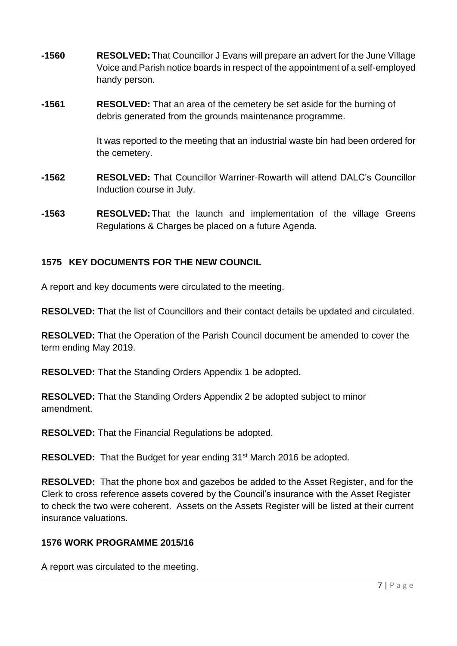- **-1560 RESOLVED:** That Councillor J Evans will prepare an advert for the June Village Voice and Parish notice boards in respect of the appointment of a self-employed handy person.
- **-1561 RESOLVED:** That an area of the cemetery be set aside for the burning of debris generated from the grounds maintenance programme.

It was reported to the meeting that an industrial waste bin had been ordered for the cemetery.

- **-1562 RESOLVED:** That Councillor Warriner-Rowarth will attend DALC's Councillor Induction course in July.
- **-1563 RESOLVED:** That the launch and implementation of the village Greens Regulations & Charges be placed on a future Agenda.

## **1575 KEY DOCUMENTS FOR THE NEW COUNCIL**

A report and key documents were circulated to the meeting.

**RESOLVED:** That the list of Councillors and their contact details be updated and circulated.

**RESOLVED:** That the Operation of the Parish Council document be amended to cover the term ending May 2019.

**RESOLVED:** That the Standing Orders Appendix 1 be adopted.

**RESOLVED:** That the Standing Orders Appendix 2 be adopted subject to minor amendment.

**RESOLVED:** That the Financial Regulations be adopted.

**RESOLVED:** That the Budget for year ending 31st March 2016 be adopted.

**RESOLVED:** That the phone box and gazebos be added to the Asset Register, and for the Clerk to cross reference assets covered by the Council's insurance with the Asset Register to check the two were coherent. Assets on the Assets Register will be listed at their current insurance valuations.

#### **1576 WORK PROGRAMME 2015/16**

A report was circulated to the meeting.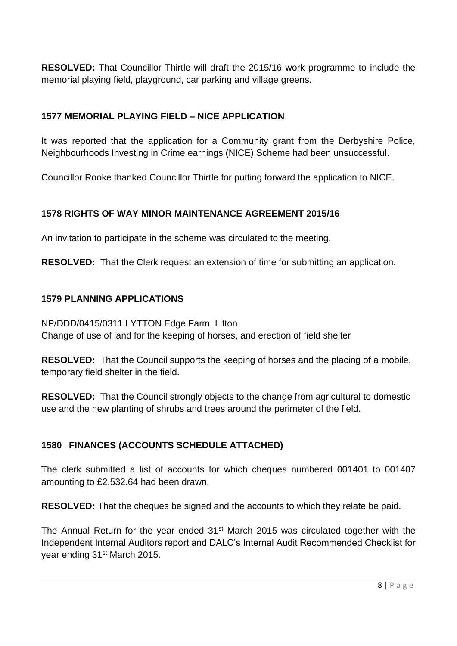**RESOLVED:** That Councillor Thirtle will draft the 2015/16 work programme to include the memorial playing field, playground, car parking and village greens.

## **1577 MEMORIAL PLAYING FIELD – NICE APPLICATION**

It was reported that the application for a Community grant from the Derbyshire Police, Neighbourhoods Investing in Crime earnings (NICE) Scheme had been unsuccessful.

Councillor Rooke thanked Councillor Thirtle for putting forward the application to NICE.

## **1578 RIGHTS OF WAY MINOR MAINTENANCE AGREEMENT 2015/16**

An invitation to participate in the scheme was circulated to the meeting.

**RESOLVED:** That the Clerk request an extension of time for submitting an application.

## **1579 PLANNING APPLICATIONS**

NP/DDD/0415/0311 LYTTON Edge Farm, Litton Change of use of land for the keeping of horses, and erection of field shelter

**RESOLVED:** That the Council supports the keeping of horses and the placing of a mobile, temporary field shelter in the field.

**RESOLVED:** That the Council strongly objects to the change from agricultural to domestic use and the new planting of shrubs and trees around the perimeter of the field.

## **1580 FINANCES (ACCOUNTS SCHEDULE ATTACHED)**

The clerk submitted a list of accounts for which cheques numbered 001401 to 001407 amounting to £2,532.64 had been drawn.

**RESOLVED:** That the cheques be signed and the accounts to which they relate be paid.

The Annual Return for the year ended 31<sup>st</sup> March 2015 was circulated together with the Independent Internal Auditors report and DALC's Internal Audit Recommended Checklist for year ending 31<sup>st</sup> March 2015.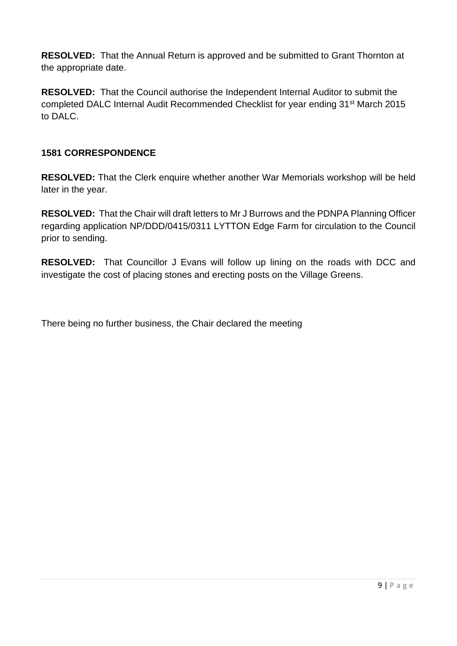**RESOLVED:** That the Annual Return is approved and be submitted to Grant Thornton at the appropriate date.

**RESOLVED:** That the Council authorise the Independent Internal Auditor to submit the completed DALC Internal Audit Recommended Checklist for year ending 31st March 2015 to DALC.

## **1581 CORRESPONDENCE**

**RESOLVED:** That the Clerk enquire whether another War Memorials workshop will be held later in the year.

**RESOLVED:** That the Chair will draft letters to Mr J Burrows and the PDNPA Planning Officer regarding application NP/DDD/0415/0311 LYTTON Edge Farm for circulation to the Council prior to sending.

**RESOLVED:** That Councillor J Evans will follow up lining on the roads with DCC and investigate the cost of placing stones and erecting posts on the Village Greens.

There being no further business, the Chair declared the meeting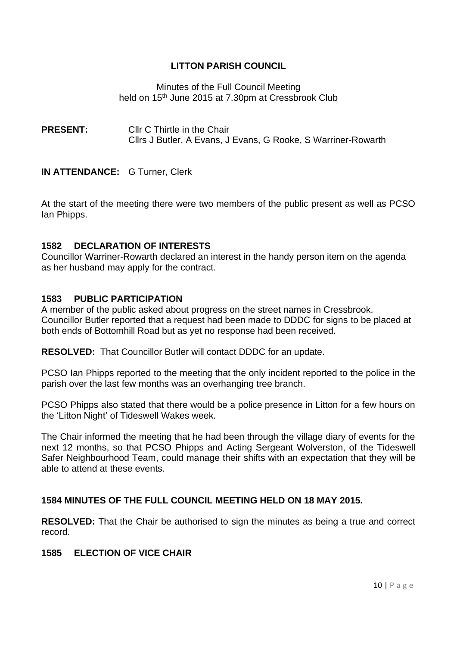Minutes of the Full Council Meeting held on 15<sup>th</sup> June 2015 at 7.30pm at Cressbrook Club

**PRESENT:** Cllr C Thirtle in the Chair Cllrs J Butler, A Evans, J Evans, G Rooke, S Warriner-Rowarth

#### **IN ATTENDANCE:** G Turner, Clerk

At the start of the meeting there were two members of the public present as well as PCSO Ian Phipps.

#### **1582 DECLARATION OF INTERESTS**

Councillor Warriner-Rowarth declared an interest in the handy person item on the agenda as her husband may apply for the contract.

#### **1583 PUBLIC PARTICIPATION**

A member of the public asked about progress on the street names in Cressbrook. Councillor Butler reported that a request had been made to DDDC for signs to be placed at both ends of Bottomhill Road but as yet no response had been received.

**RESOLVED:** That Councillor Butler will contact DDDC for an update.

PCSO Ian Phipps reported to the meeting that the only incident reported to the police in the parish over the last few months was an overhanging tree branch.

PCSO Phipps also stated that there would be a police presence in Litton for a few hours on the 'Litton Night' of Tideswell Wakes week.

The Chair informed the meeting that he had been through the village diary of events for the next 12 months, so that PCSO Phipps and Acting Sergeant Wolverston, of the Tideswell Safer Neighbourhood Team, could manage their shifts with an expectation that they will be able to attend at these events.

### **1584 MINUTES OF THE FULL COUNCIL MEETING HELD ON 18 MAY 2015.**

**RESOLVED:** That the Chair be authorised to sign the minutes as being a true and correct record.

### **1585 ELECTION OF VICE CHAIR**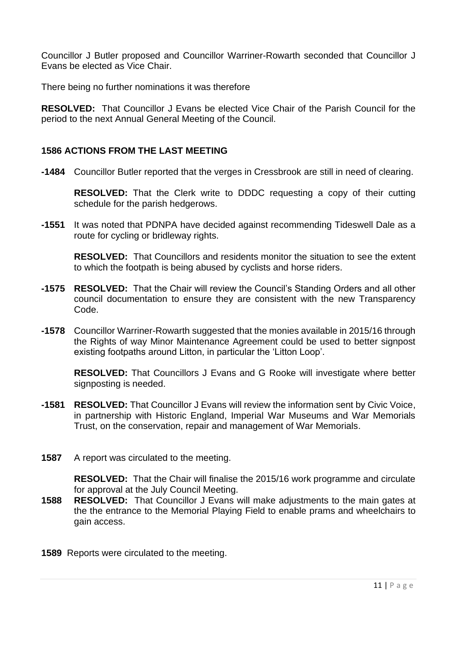Councillor J Butler proposed and Councillor Warriner-Rowarth seconded that Councillor J Evans be elected as Vice Chair.

There being no further nominations it was therefore

**RESOLVED:** That Councillor J Evans be elected Vice Chair of the Parish Council for the period to the next Annual General Meeting of the Council.

#### **1586 ACTIONS FROM THE LAST MEETING**

**-1484** Councillor Butler reported that the verges in Cressbrook are still in need of clearing.

**RESOLVED:** That the Clerk write to DDDC requesting a copy of their cutting schedule for the parish hedgerows.

**-1551** It was noted that PDNPA have decided against recommending Tideswell Dale as a route for cycling or bridleway rights.

**RESOLVED:** That Councillors and residents monitor the situation to see the extent to which the footpath is being abused by cyclists and horse riders.

- **-1575 RESOLVED:** That the Chair will review the Council's Standing Orders and all other council documentation to ensure they are consistent with the new Transparency Code.
- **-1578** Councillor Warriner-Rowarth suggested that the monies available in 2015/16 through the Rights of way Minor Maintenance Agreement could be used to better signpost existing footpaths around Litton, in particular the 'Litton Loop'.

**RESOLVED:** That Councillors J Evans and G Rooke will investigate where better signposting is needed.

- **-1581 RESOLVED:** That Councillor J Evans will review the information sent by Civic Voice, in partnership with Historic England, Imperial War Museums and War Memorials Trust, on the conservation, repair and management of War Memorials.
- **1587** A report was circulated to the meeting.

**RESOLVED:** That the Chair will finalise the 2015/16 work programme and circulate for approval at the July Council Meeting.

- **1588 RESOLVED:** That Councillor J Evans will make adjustments to the main gates at the the entrance to the Memorial Playing Field to enable prams and wheelchairs to gain access.
- **1589** Reports were circulated to the meeting.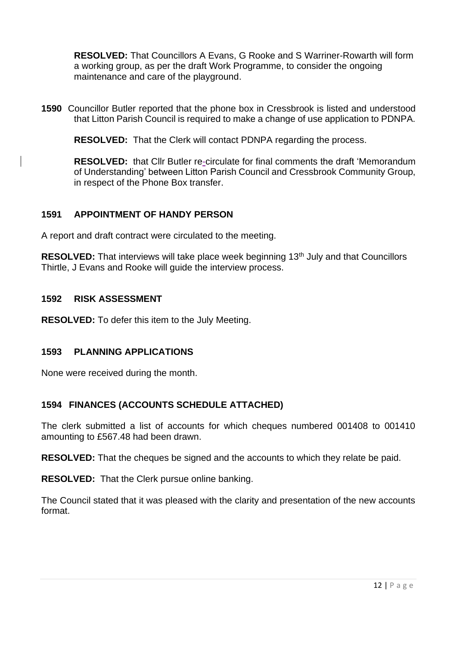**RESOLVED:** That Councillors A Evans, G Rooke and S Warriner-Rowarth will form a working group, as per the draft Work Programme, to consider the ongoing maintenance and care of the playground.

**1590** Councillor Butler reported that the phone box in Cressbrook is listed and understood that Litton Parish Council is required to make a change of use application to PDNPA.

**RESOLVED:** That the Clerk will contact PDNPA regarding the process.

**RESOLVED:** that Cllr Butler re-circulate for final comments the draft 'Memorandum of Understanding' between Litton Parish Council and Cressbrook Community Group, in respect of the Phone Box transfer.

### **1591 APPOINTMENT OF HANDY PERSON**

A report and draft contract were circulated to the meeting.

**RESOLVED:** That interviews will take place week beginning 13<sup>th</sup> July and that Councillors Thirtle, J Evans and Rooke will guide the interview process.

#### **1592 RISK ASSESSMENT**

**RESOLVED:** To defer this item to the July Meeting.

#### **1593 PLANNING APPLICATIONS**

None were received during the month.

#### **1594 FINANCES (ACCOUNTS SCHEDULE ATTACHED)**

The clerk submitted a list of accounts for which cheques numbered 001408 to 001410 amounting to £567.48 had been drawn.

**RESOLVED:** That the cheques be signed and the accounts to which they relate be paid.

**RESOLVED:** That the Clerk pursue online banking.

The Council stated that it was pleased with the clarity and presentation of the new accounts format.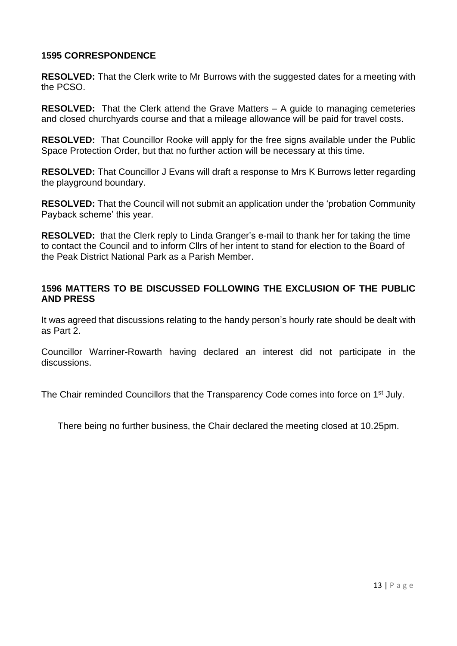### **1595 CORRESPONDENCE**

**RESOLVED:** That the Clerk write to Mr Burrows with the suggested dates for a meeting with the PCSO.

**RESOLVED:** That the Clerk attend the Grave Matters – A guide to managing cemeteries and closed churchyards course and that a mileage allowance will be paid for travel costs.

**RESOLVED:** That Councillor Rooke will apply for the free signs available under the Public Space Protection Order, but that no further action will be necessary at this time.

**RESOLVED:** That Councillor J Evans will draft a response to Mrs K Burrows letter regarding the playground boundary.

**RESOLVED:** That the Council will not submit an application under the 'probation Community Payback scheme' this year.

**RESOLVED:** that the Clerk reply to Linda Granger's e-mail to thank her for taking the time to contact the Council and to inform Cllrs of her intent to stand for election to the Board of the Peak District National Park as a Parish Member.

### **1596 MATTERS TO BE DISCUSSED FOLLOWING THE EXCLUSION OF THE PUBLIC AND PRESS**

It was agreed that discussions relating to the handy person's hourly rate should be dealt with as Part 2.

Councillor Warriner-Rowarth having declared an interest did not participate in the discussions.

The Chair reminded Councillors that the Transparency Code comes into force on 1<sup>st</sup> July.

There being no further business, the Chair declared the meeting closed at 10.25pm.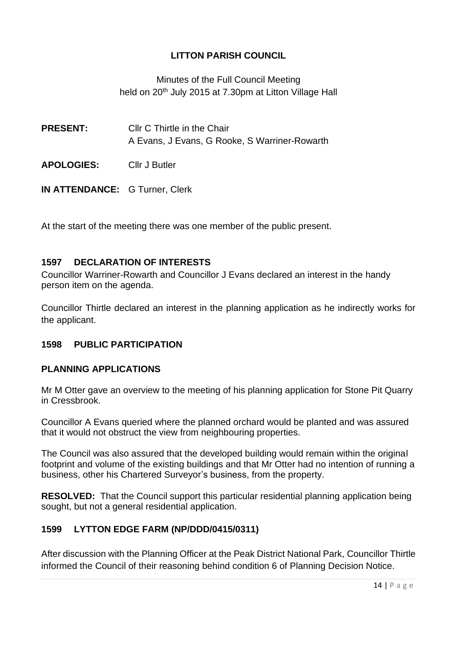Minutes of the Full Council Meeting held on 20<sup>th</sup> July 2015 at 7.30pm at Litton Village Hall

**PRESENT:** Cllr C Thirtle in the Chair A Evans, J Evans, G Rooke, S Warriner-Rowarth

**APOLOGIES:** Cllr J Butler

**IN ATTENDANCE:** G Turner, Clerk

At the start of the meeting there was one member of the public present.

### **1597 DECLARATION OF INTERESTS**

Councillor Warriner-Rowarth and Councillor J Evans declared an interest in the handy person item on the agenda.

Councillor Thirtle declared an interest in the planning application as he indirectly works for the applicant.

## **1598 PUBLIC PARTICIPATION**

#### **PLANNING APPLICATIONS**

Mr M Otter gave an overview to the meeting of his planning application for Stone Pit Quarry in Cressbrook.

Councillor A Evans queried where the planned orchard would be planted and was assured that it would not obstruct the view from neighbouring properties.

The Council was also assured that the developed building would remain within the original footprint and volume of the existing buildings and that Mr Otter had no intention of running a business, other his Chartered Surveyor's business, from the property.

**RESOLVED:** That the Council support this particular residential planning application being sought, but not a general residential application.

## **1599 LYTTON EDGE FARM (NP/DDD/0415/0311)**

After discussion with the Planning Officer at the Peak District National Park, Councillor Thirtle informed the Council of their reasoning behind condition 6 of Planning Decision Notice.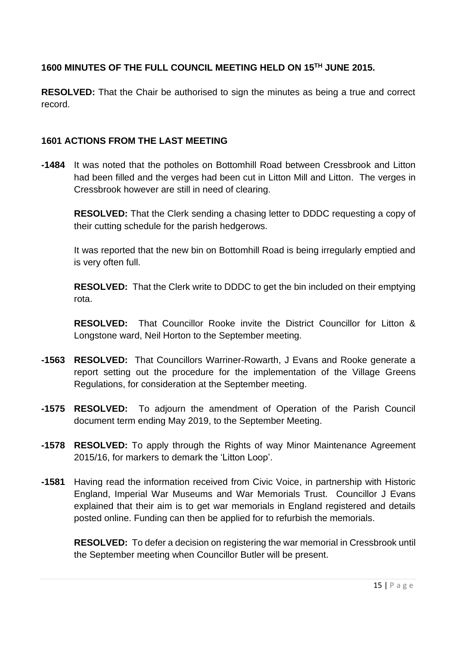## **1600 MINUTES OF THE FULL COUNCIL MEETING HELD ON 15TH JUNE 2015.**

**RESOLVED:** That the Chair be authorised to sign the minutes as being a true and correct record.

### **1601 ACTIONS FROM THE LAST MEETING**

**-1484** It was noted that the potholes on Bottomhill Road between Cressbrook and Litton had been filled and the verges had been cut in Litton Mill and Litton. The verges in Cressbrook however are still in need of clearing.

**RESOLVED:** That the Clerk sending a chasing letter to DDDC requesting a copy of their cutting schedule for the parish hedgerows.

It was reported that the new bin on Bottomhill Road is being irregularly emptied and is very often full.

**RESOLVED:** That the Clerk write to DDDC to get the bin included on their emptying rota.

**RESOLVED:** That Councillor Rooke invite the District Councillor for Litton & Longstone ward, Neil Horton to the September meeting.

- **-1563 RESOLVED:** That Councillors Warriner-Rowarth, J Evans and Rooke generate a report setting out the procedure for the implementation of the Village Greens Regulations, for consideration at the September meeting.
- **-1575 RESOLVED:** To adjourn the amendment of Operation of the Parish Council document term ending May 2019, to the September Meeting.
- **-1578 RESOLVED:** To apply through the Rights of way Minor Maintenance Agreement 2015/16, for markers to demark the 'Litton Loop'.
- **-1581** Having read the information received from Civic Voice, in partnership with Historic England, Imperial War Museums and War Memorials Trust. Councillor J Evans explained that their aim is to get war memorials in England registered and details posted online. Funding can then be applied for to refurbish the memorials.

**RESOLVED:** To defer a decision on registering the war memorial in Cressbrook until the September meeting when Councillor Butler will be present.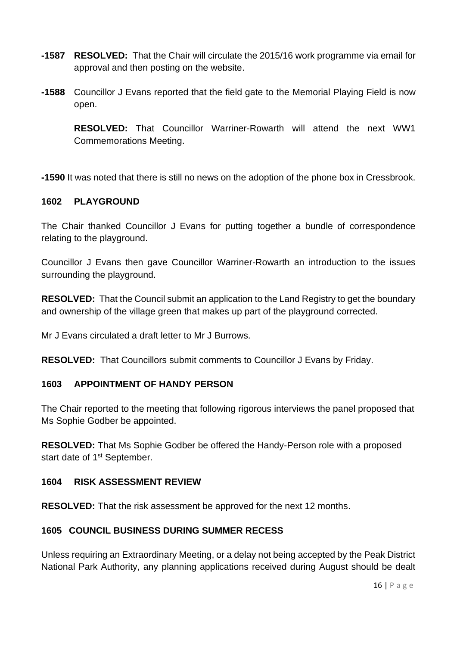- **-1587 RESOLVED:** That the Chair will circulate the 2015/16 work programme via email for approval and then posting on the website.
- **-1588** Councillor J Evans reported that the field gate to the Memorial Playing Field is now open.

**RESOLVED:** That Councillor Warriner-Rowarth will attend the next WW1 Commemorations Meeting.

**-1590** It was noted that there is still no news on the adoption of the phone box in Cressbrook.

#### **1602 PLAYGROUND**

The Chair thanked Councillor J Evans for putting together a bundle of correspondence relating to the playground.

Councillor J Evans then gave Councillor Warriner-Rowarth an introduction to the issues surrounding the playground.

**RESOLVED:** That the Council submit an application to the Land Registry to get the boundary and ownership of the village green that makes up part of the playground corrected.

Mr J Evans circulated a draft letter to Mr J Burrows.

**RESOLVED:** That Councillors submit comments to Councillor J Evans by Friday.

## **1603 APPOINTMENT OF HANDY PERSON**

The Chair reported to the meeting that following rigorous interviews the panel proposed that Ms Sophie Godber be appointed.

**RESOLVED:** That Ms Sophie Godber be offered the Handy-Person role with a proposed start date of 1<sup>st</sup> September.

#### **1604 RISK ASSESSMENT REVIEW**

**RESOLVED:** That the risk assessment be approved for the next 12 months.

## **1605 COUNCIL BUSINESS DURING SUMMER RECESS**

Unless requiring an Extraordinary Meeting, or a delay not being accepted by the Peak District National Park Authority, any planning applications received during August should be dealt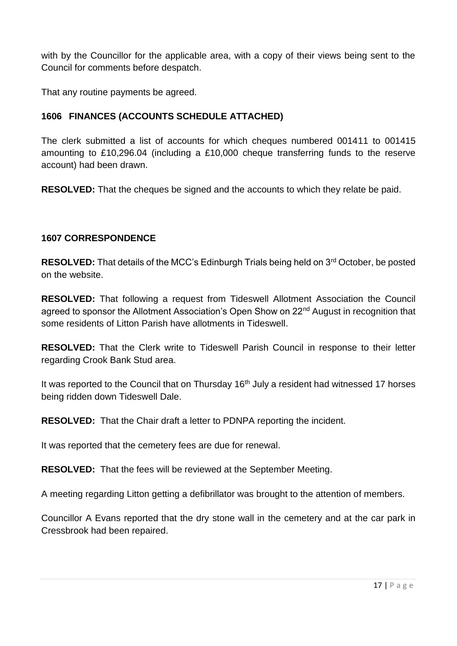with by the Councillor for the applicable area, with a copy of their views being sent to the Council for comments before despatch.

That any routine payments be agreed.

## **1606 FINANCES (ACCOUNTS SCHEDULE ATTACHED)**

The clerk submitted a list of accounts for which cheques numbered 001411 to 001415 amounting to £10,296.04 (including a £10,000 cheque transferring funds to the reserve account) had been drawn.

**RESOLVED:** That the cheques be signed and the accounts to which they relate be paid.

## **1607 CORRESPONDENCE**

**RESOLVED:** That details of the MCC's Edinburgh Trials being held on 3rd October, be posted on the website.

**RESOLVED:** That following a request from Tideswell Allotment Association the Council agreed to sponsor the Allotment Association's Open Show on 22<sup>nd</sup> August in recognition that some residents of Litton Parish have allotments in Tideswell.

**RESOLVED:** That the Clerk write to Tideswell Parish Council in response to their letter regarding Crook Bank Stud area.

It was reported to the Council that on Thursday 16<sup>th</sup> July a resident had witnessed 17 horses being ridden down Tideswell Dale.

**RESOLVED:** That the Chair draft a letter to PDNPA reporting the incident.

It was reported that the cemetery fees are due for renewal.

**RESOLVED:** That the fees will be reviewed at the September Meeting.

A meeting regarding Litton getting a defibrillator was brought to the attention of members.

Councillor A Evans reported that the dry stone wall in the cemetery and at the car park in Cressbrook had been repaired.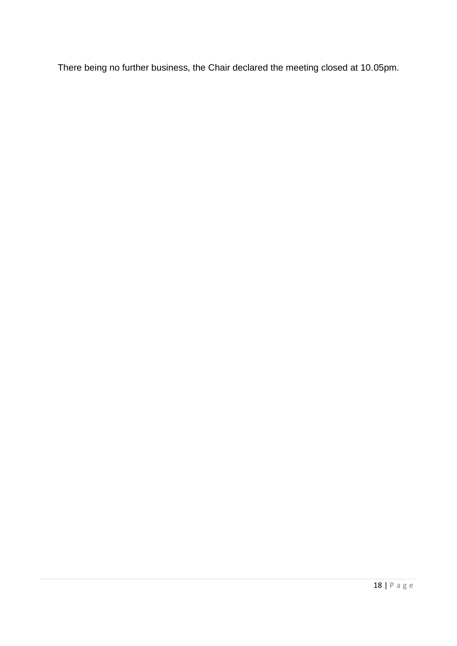There being no further business, the Chair declared the meeting closed at 10.05pm.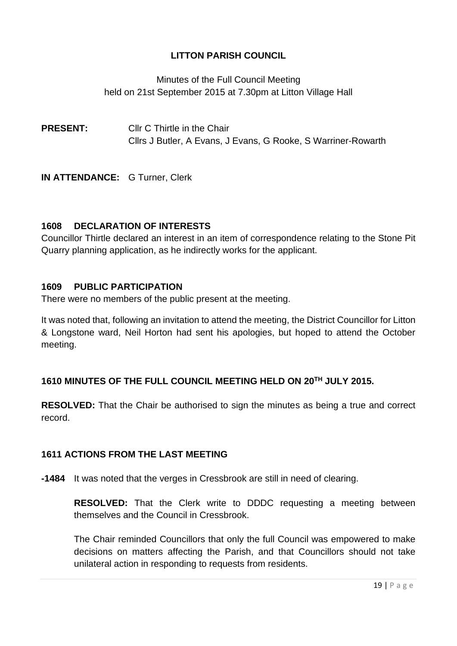Minutes of the Full Council Meeting held on 21st September 2015 at 7.30pm at Litton Village Hall

**PRESENT:** Cllr C Thirtle in the Chair Cllrs J Butler, A Evans, J Evans, G Rooke, S Warriner-Rowarth

**IN ATTENDANCE:** G Turner, Clerk

## **1608 DECLARATION OF INTERESTS**

Councillor Thirtle declared an interest in an item of correspondence relating to the Stone Pit Quarry planning application, as he indirectly works for the applicant.

## **1609 PUBLIC PARTICIPATION**

There were no members of the public present at the meeting.

It was noted that, following an invitation to attend the meeting, the District Councillor for Litton & Longstone ward, Neil Horton had sent his apologies, but hoped to attend the October meeting.

## **1610 MINUTES OF THE FULL COUNCIL MEETING HELD ON 20TH JULY 2015.**

**RESOLVED:** That the Chair be authorised to sign the minutes as being a true and correct record.

## **1611 ACTIONS FROM THE LAST MEETING**

**-1484** It was noted that the verges in Cressbrook are still in need of clearing.

**RESOLVED:** That the Clerk write to DDDC requesting a meeting between themselves and the Council in Cressbrook.

The Chair reminded Councillors that only the full Council was empowered to make decisions on matters affecting the Parish, and that Councillors should not take unilateral action in responding to requests from residents.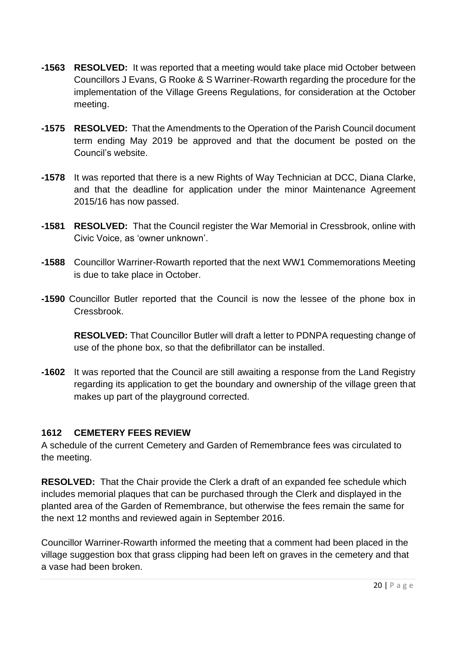- **-1563 RESOLVED:** It was reported that a meeting would take place mid October between Councillors J Evans, G Rooke & S Warriner-Rowarth regarding the procedure for the implementation of the Village Greens Regulations, for consideration at the October meeting.
- **-1575 RESOLVED:** That the Amendments to the Operation of the Parish Council document term ending May 2019 be approved and that the document be posted on the Council's website.
- **-1578** It was reported that there is a new Rights of Way Technician at DCC, Diana Clarke, and that the deadline for application under the minor Maintenance Agreement 2015/16 has now passed.
- **-1581 RESOLVED:** That the Council register the War Memorial in Cressbrook, online with Civic Voice, as 'owner unknown'.
- **-1588** Councillor Warriner-Rowarth reported that the next WW1 Commemorations Meeting is due to take place in October.
- **-1590** Councillor Butler reported that the Council is now the lessee of the phone box in Cressbrook.

**RESOLVED:** That Councillor Butler will draft a letter to PDNPA requesting change of use of the phone box, so that the defibrillator can be installed.

**-1602** It was reported that the Council are still awaiting a response from the Land Registry regarding its application to get the boundary and ownership of the village green that makes up part of the playground corrected.

## **1612 CEMETERY FEES REVIEW**

A schedule of the current Cemetery and Garden of Remembrance fees was circulated to the meeting.

**RESOLVED:** That the Chair provide the Clerk a draft of an expanded fee schedule which includes memorial plaques that can be purchased through the Clerk and displayed in the planted area of the Garden of Remembrance, but otherwise the fees remain the same for the next 12 months and reviewed again in September 2016.

Councillor Warriner-Rowarth informed the meeting that a comment had been placed in the village suggestion box that grass clipping had been left on graves in the cemetery and that a vase had been broken.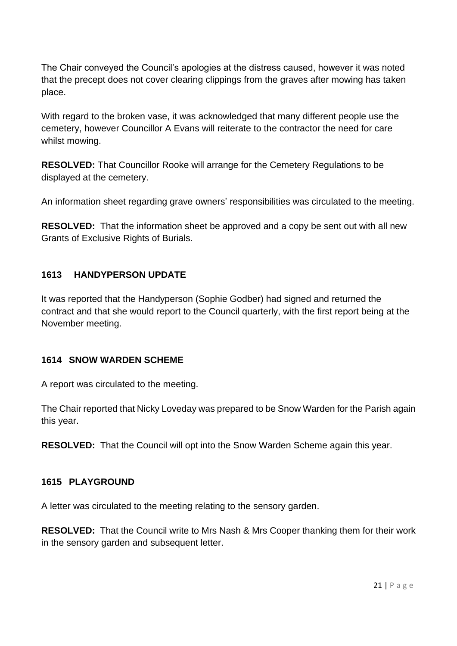The Chair conveyed the Council's apologies at the distress caused, however it was noted that the precept does not cover clearing clippings from the graves after mowing has taken place.

With regard to the broken vase, it was acknowledged that many different people use the cemetery, however Councillor A Evans will reiterate to the contractor the need for care whilst mowing.

**RESOLVED:** That Councillor Rooke will arrange for the Cemetery Regulations to be displayed at the cemetery.

An information sheet regarding grave owners' responsibilities was circulated to the meeting.

**RESOLVED:** That the information sheet be approved and a copy be sent out with all new Grants of Exclusive Rights of Burials.

## **1613 HANDYPERSON UPDATE**

It was reported that the Handyperson (Sophie Godber) had signed and returned the contract and that she would report to the Council quarterly, with the first report being at the November meeting.

## **1614 SNOW WARDEN SCHEME**

A report was circulated to the meeting.

The Chair reported that Nicky Loveday was prepared to be Snow Warden for the Parish again this year.

**RESOLVED:** That the Council will opt into the Snow Warden Scheme again this year.

## **1615 PLAYGROUND**

A letter was circulated to the meeting relating to the sensory garden.

**RESOLVED:** That the Council write to Mrs Nash & Mrs Cooper thanking them for their work in the sensory garden and subsequent letter.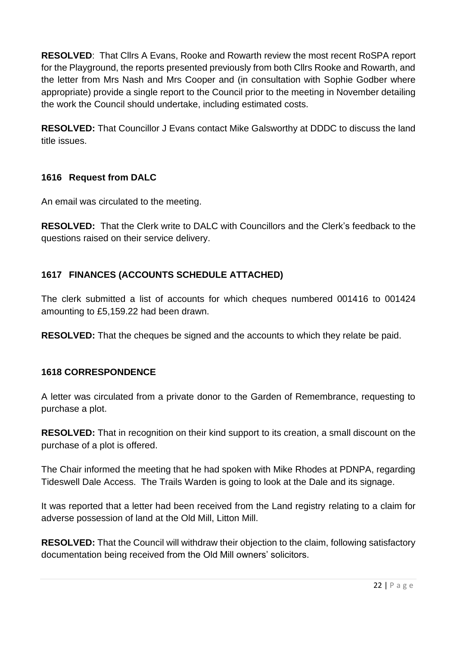**RESOLVED**: That Cllrs A Evans, Rooke and Rowarth review the most recent RoSPA report for the Playground, the reports presented previously from both Cllrs Rooke and Rowarth, and the letter from Mrs Nash and Mrs Cooper and (in consultation with Sophie Godber where appropriate) provide a single report to the Council prior to the meeting in November detailing the work the Council should undertake, including estimated costs.

**RESOLVED:** That Councillor J Evans contact Mike Galsworthy at DDDC to discuss the land title issues.

## **1616 Request from DALC**

An email was circulated to the meeting.

**RESOLVED:** That the Clerk write to DALC with Councillors and the Clerk's feedback to the questions raised on their service delivery.

## **1617 FINANCES (ACCOUNTS SCHEDULE ATTACHED)**

The clerk submitted a list of accounts for which cheques numbered 001416 to 001424 amounting to £5,159.22 had been drawn.

**RESOLVED:** That the cheques be signed and the accounts to which they relate be paid.

## **1618 CORRESPONDENCE**

A letter was circulated from a private donor to the Garden of Remembrance, requesting to purchase a plot.

**RESOLVED:** That in recognition on their kind support to its creation, a small discount on the purchase of a plot is offered.

The Chair informed the meeting that he had spoken with Mike Rhodes at PDNPA, regarding Tideswell Dale Access. The Trails Warden is going to look at the Dale and its signage.

It was reported that a letter had been received from the Land registry relating to a claim for adverse possession of land at the Old Mill, Litton Mill.

**RESOLVED:** That the Council will withdraw their objection to the claim, following satisfactory documentation being received from the Old Mill owners' solicitors.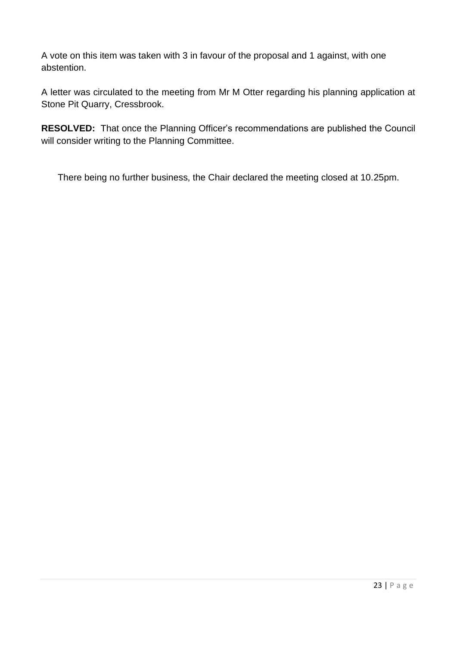A vote on this item was taken with 3 in favour of the proposal and 1 against, with one abstention.

A letter was circulated to the meeting from Mr M Otter regarding his planning application at Stone Pit Quarry, Cressbrook.

**RESOLVED:** That once the Planning Officer's recommendations are published the Council will consider writing to the Planning Committee.

There being no further business, the Chair declared the meeting closed at 10.25pm.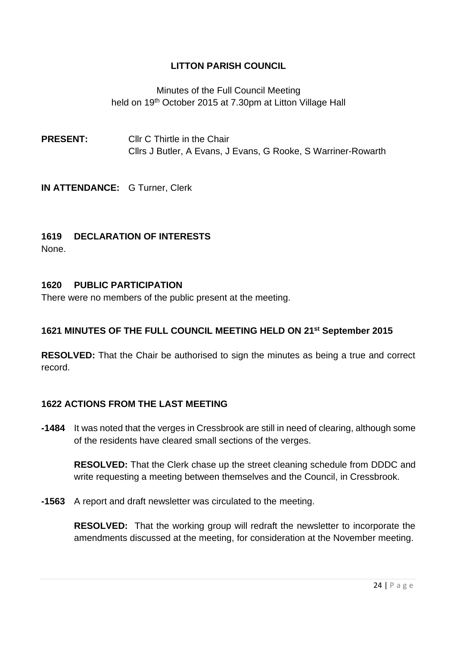Minutes of the Full Council Meeting held on 19<sup>th</sup> October 2015 at 7.30pm at Litton Village Hall

**PRESENT:** Cllr C Thirtle in the Chair Cllrs J Butler, A Evans, J Evans, G Rooke, S Warriner-Rowarth

**IN ATTENDANCE:** G Turner, Clerk

## **1619 DECLARATION OF INTERESTS**

None.

#### **1620 PUBLIC PARTICIPATION**

There were no members of the public present at the meeting.

#### **1621 MINUTES OF THE FULL COUNCIL MEETING HELD ON 21 st September 2015**

**RESOLVED:** That the Chair be authorised to sign the minutes as being a true and correct record.

#### **1622 ACTIONS FROM THE LAST MEETING**

**-1484** It was noted that the verges in Cressbrook are still in need of clearing, although some of the residents have cleared small sections of the verges.

**RESOLVED:** That the Clerk chase up the street cleaning schedule from DDDC and write requesting a meeting between themselves and the Council, in Cressbrook.

**-1563** A report and draft newsletter was circulated to the meeting.

**RESOLVED:** That the working group will redraft the newsletter to incorporate the amendments discussed at the meeting, for consideration at the November meeting.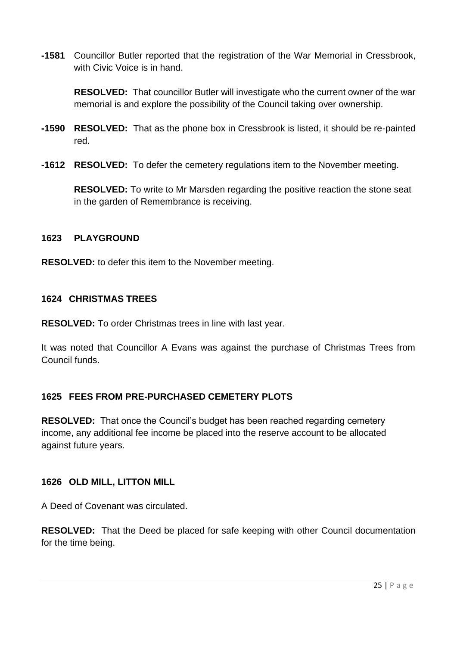**-1581** Councillor Butler reported that the registration of the War Memorial in Cressbrook, with Civic Voice is in hand.

**RESOLVED:** That councillor Butler will investigate who the current owner of the war memorial is and explore the possibility of the Council taking over ownership.

- **-1590 RESOLVED:** That as the phone box in Cressbrook is listed, it should be re-painted red.
- **-1612 RESOLVED:** To defer the cemetery regulations item to the November meeting.

**RESOLVED:** To write to Mr Marsden regarding the positive reaction the stone seat in the garden of Remembrance is receiving.

### **1623 PLAYGROUND**

**RESOLVED:** to defer this item to the November meeting.

### **1624 CHRISTMAS TREES**

**RESOLVED:** To order Christmas trees in line with last year.

It was noted that Councillor A Evans was against the purchase of Christmas Trees from Council funds.

## **1625 FEES FROM PRE-PURCHASED CEMETERY PLOTS**

**RESOLVED:** That once the Council's budget has been reached regarding cemetery income, any additional fee income be placed into the reserve account to be allocated against future years.

## **1626 OLD MILL, LITTON MILL**

A Deed of Covenant was circulated.

**RESOLVED:** That the Deed be placed for safe keeping with other Council documentation for the time being.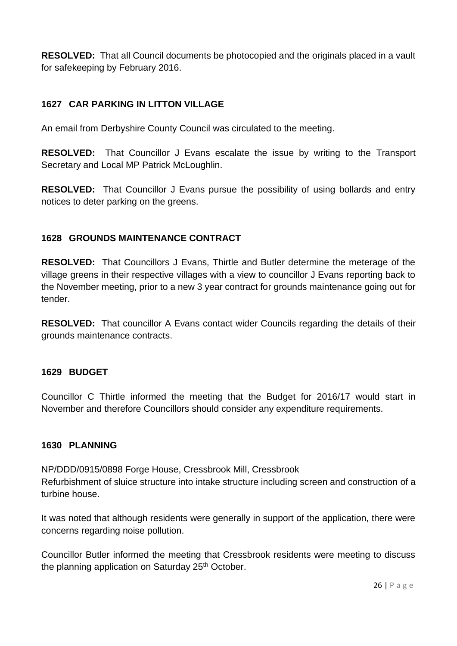**RESOLVED:** That all Council documents be photocopied and the originals placed in a vault for safekeeping by February 2016.

## **1627 CAR PARKING IN LITTON VILLAGE**

An email from Derbyshire County Council was circulated to the meeting.

**RESOLVED:** That Councillor J Evans escalate the issue by writing to the Transport Secretary and Local MP Patrick McLoughlin.

**RESOLVED:** That Councillor J Evans pursue the possibility of using bollards and entry notices to deter parking on the greens.

## **1628 GROUNDS MAINTENANCE CONTRACT**

**RESOLVED:** That Councillors J Evans, Thirtle and Butler determine the meterage of the village greens in their respective villages with a view to councillor J Evans reporting back to the November meeting, prior to a new 3 year contract for grounds maintenance going out for tender.

**RESOLVED:** That councillor A Evans contact wider Councils regarding the details of their grounds maintenance contracts.

#### **1629 BUDGET**

Councillor C Thirtle informed the meeting that the Budget for 2016/17 would start in November and therefore Councillors should consider any expenditure requirements.

#### **1630 PLANNING**

NP/DDD/0915/0898 Forge House, Cressbrook Mill, Cressbrook Refurbishment of sluice structure into intake structure including screen and construction of a turbine house.

It was noted that although residents were generally in support of the application, there were concerns regarding noise pollution.

Councillor Butler informed the meeting that Cressbrook residents were meeting to discuss the planning application on Saturday 25<sup>th</sup> October.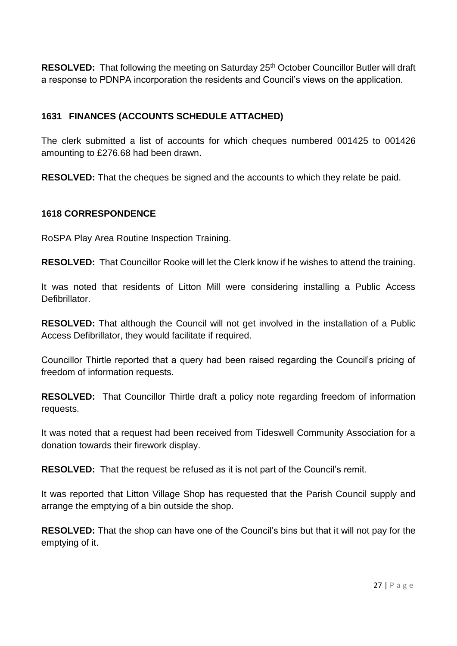**RESOLVED:** That following the meeting on Saturday 25<sup>th</sup> October Councillor Butler will draft a response to PDNPA incorporation the residents and Council's views on the application.

## **1631 FINANCES (ACCOUNTS SCHEDULE ATTACHED)**

The clerk submitted a list of accounts for which cheques numbered 001425 to 001426 amounting to £276.68 had been drawn.

**RESOLVED:** That the cheques be signed and the accounts to which they relate be paid.

## **1618 CORRESPONDENCE**

RoSPA Play Area Routine Inspection Training.

**RESOLVED:** That Councillor Rooke will let the Clerk know if he wishes to attend the training.

It was noted that residents of Litton Mill were considering installing a Public Access Defibrillator.

**RESOLVED:** That although the Council will not get involved in the installation of a Public Access Defibrillator, they would facilitate if required.

Councillor Thirtle reported that a query had been raised regarding the Council's pricing of freedom of information requests.

**RESOLVED:** That Councillor Thirtle draft a policy note regarding freedom of information requests.

It was noted that a request had been received from Tideswell Community Association for a donation towards their firework display.

**RESOLVED:** That the request be refused as it is not part of the Council's remit.

It was reported that Litton Village Shop has requested that the Parish Council supply and arrange the emptying of a bin outside the shop.

**RESOLVED:** That the shop can have one of the Council's bins but that it will not pay for the emptying of it.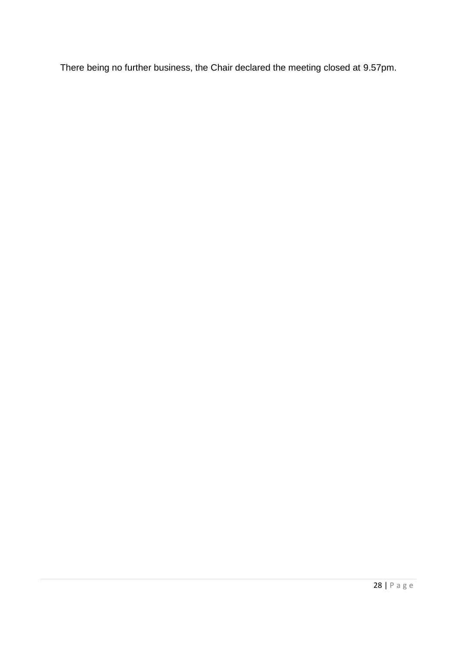There being no further business, the Chair declared the meeting closed at 9.57pm.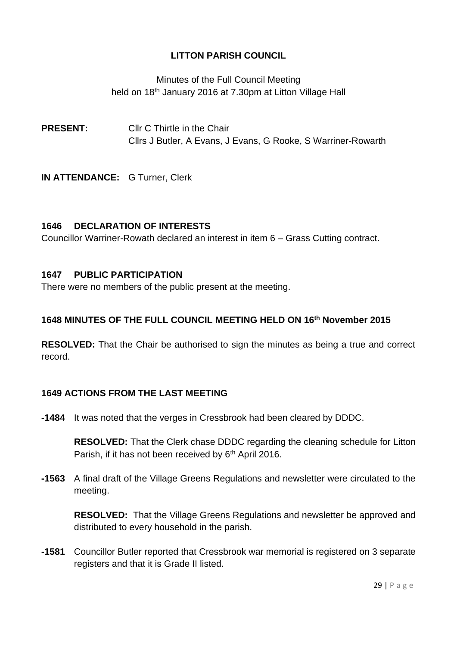Minutes of the Full Council Meeting held on 18<sup>th</sup> January 2016 at 7.30pm at Litton Village Hall

**PRESENT:** Cllr C Thirtle in the Chair Cllrs J Butler, A Evans, J Evans, G Rooke, S Warriner-Rowarth

**IN ATTENDANCE:** G Turner, Clerk

## **1646 DECLARATION OF INTERESTS**

Councillor Warriner-Rowath declared an interest in item 6 – Grass Cutting contract.

## **1647 PUBLIC PARTICIPATION**

There were no members of the public present at the meeting.

## **1648 MINUTES OF THE FULL COUNCIL MEETING HELD ON 16 th November 2015**

**RESOLVED:** That the Chair be authorised to sign the minutes as being a true and correct record.

## **1649 ACTIONS FROM THE LAST MEETING**

**-1484** It was noted that the verges in Cressbrook had been cleared by DDDC.

**RESOLVED:** That the Clerk chase DDDC regarding the cleaning schedule for Litton Parish, if it has not been received by 6<sup>th</sup> April 2016.

**-1563** A final draft of the Village Greens Regulations and newsletter were circulated to the meeting.

**RESOLVED:** That the Village Greens Regulations and newsletter be approved and distributed to every household in the parish.

**-1581** Councillor Butler reported that Cressbrook war memorial is registered on 3 separate registers and that it is Grade II listed.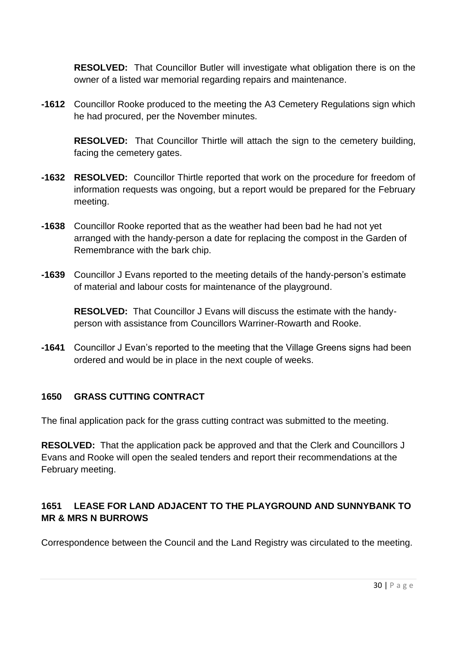**RESOLVED:** That Councillor Butler will investigate what obligation there is on the owner of a listed war memorial regarding repairs and maintenance.

**-1612** Councillor Rooke produced to the meeting the A3 Cemetery Regulations sign which he had procured, per the November minutes.

**RESOLVED:** That Councillor Thirtle will attach the sign to the cemetery building, facing the cemetery gates.

- **-1632 RESOLVED:** Councillor Thirtle reported that work on the procedure for freedom of information requests was ongoing, but a report would be prepared for the February meeting.
- **-1638** Councillor Rooke reported that as the weather had been bad he had not yet arranged with the handy-person a date for replacing the compost in the Garden of Remembrance with the bark chip.
- **-1639** Councillor J Evans reported to the meeting details of the handy-person's estimate of material and labour costs for maintenance of the playground.

**RESOLVED:** That Councillor J Evans will discuss the estimate with the handyperson with assistance from Councillors Warriner-Rowarth and Rooke.

**-1641** Councillor J Evan's reported to the meeting that the Village Greens signs had been ordered and would be in place in the next couple of weeks.

## **1650 GRASS CUTTING CONTRACT**

The final application pack for the grass cutting contract was submitted to the meeting.

**RESOLVED:** That the application pack be approved and that the Clerk and Councillors J Evans and Rooke will open the sealed tenders and report their recommendations at the February meeting.

## **1651 LEASE FOR LAND ADJACENT TO THE PLAYGROUND AND SUNNYBANK TO MR & MRS N BURROWS**

Correspondence between the Council and the Land Registry was circulated to the meeting.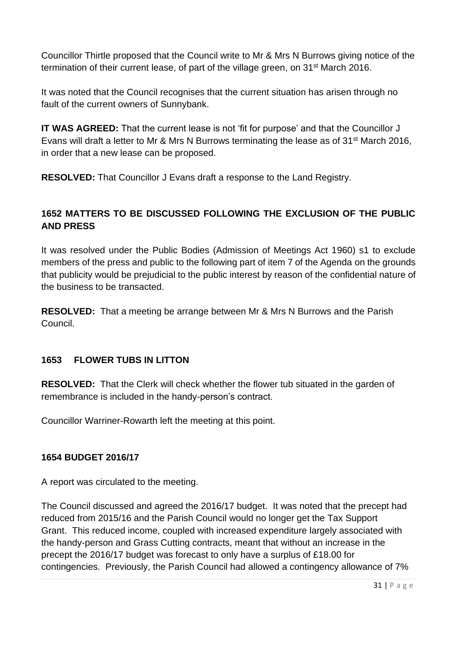Councillor Thirtle proposed that the Council write to Mr & Mrs N Burrows giving notice of the termination of their current lease, of part of the village green, on 31st March 2016.

It was noted that the Council recognises that the current situation has arisen through no fault of the current owners of Sunnybank.

**IT WAS AGREED:** That the current lease is not 'fit for purpose' and that the Councillor J Evans will draft a letter to Mr & Mrs N Burrows terminating the lease as of 31st March 2016, in order that a new lease can be proposed.

**RESOLVED:** That Councillor J Evans draft a response to the Land Registry.

## **1652 MATTERS TO BE DISCUSSED FOLLOWING THE EXCLUSION OF THE PUBLIC AND PRESS**

It was resolved under the Public Bodies (Admission of Meetings Act 1960) s1 to exclude members of the press and public to the following part of item 7 of the Agenda on the grounds that publicity would be prejudicial to the public interest by reason of the confidential nature of the business to be transacted.

**RESOLVED:** That a meeting be arrange between Mr & Mrs N Burrows and the Parish Council.

## **1653 FLOWER TUBS IN LITTON**

**RESOLVED:** That the Clerk will check whether the flower tub situated in the garden of remembrance is included in the handy-person's contract.

Councillor Warriner-Rowarth left the meeting at this point.

## **1654 BUDGET 2016/17**

A report was circulated to the meeting.

The Council discussed and agreed the 2016/17 budget. It was noted that the precept had reduced from 2015/16 and the Parish Council would no longer get the Tax Support Grant. This reduced income, coupled with increased expenditure largely associated with the handy-person and Grass Cutting contracts, meant that without an increase in the precept the 2016/17 budget was forecast to only have a surplus of £18.00 for contingencies. Previously, the Parish Council had allowed a contingency allowance of 7%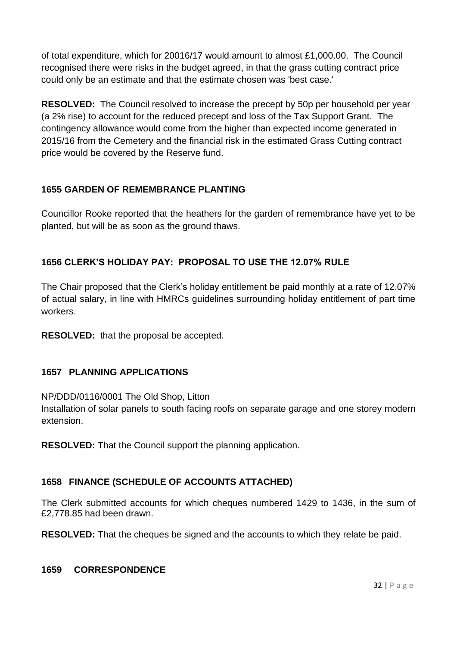of total expenditure, which for 20016/17 would amount to almost £1,000.00. The Council recognised there were risks in the budget agreed, in that the grass cutting contract price could only be an estimate and that the estimate chosen was 'best case.'

**RESOLVED:** The Council resolved to increase the precept by 50p per household per year (a 2% rise) to account for the reduced precept and loss of the Tax Support Grant. The contingency allowance would come from the higher than expected income generated in 2015/16 from the Cemetery and the financial risk in the estimated Grass Cutting contract price would be covered by the Reserve fund.

## **1655 GARDEN OF REMEMBRANCE PLANTING**

Councillor Rooke reported that the heathers for the garden of remembrance have yet to be planted, but will be as soon as the ground thaws.

## **1656 CLERK'S HOLIDAY PAY: PROPOSAL TO USE THE 12.07% RULE**

The Chair proposed that the Clerk's holiday entitlement be paid monthly at a rate of 12.07% of actual salary, in line with HMRCs guidelines surrounding holiday entitlement of part time workers.

**RESOLVED:** that the proposal be accepted.

## **1657 PLANNING APPLICATIONS**

NP/DDD/0116/0001 The Old Shop, Litton

Installation of solar panels to south facing roofs on separate garage and one storey modern extension.

**RESOLVED:** That the Council support the planning application.

## **1658 FINANCE (SCHEDULE OF ACCOUNTS ATTACHED)**

The Clerk submitted accounts for which cheques numbered 1429 to 1436, in the sum of £2,778.85 had been drawn.

**RESOLVED:** That the cheques be signed and the accounts to which they relate be paid.

#### **1659 CORRESPONDENCE**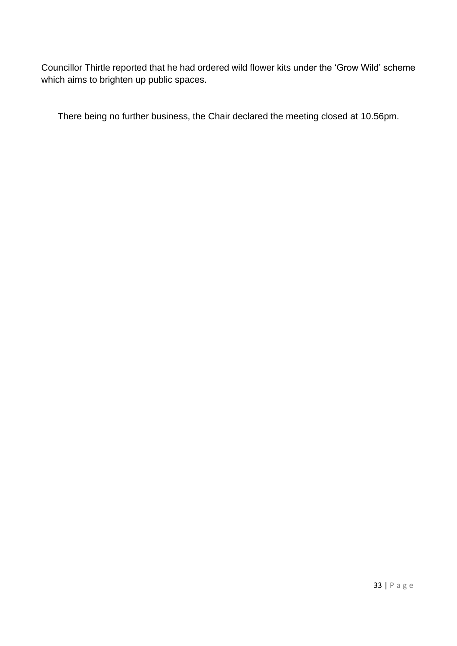Councillor Thirtle reported that he had ordered wild flower kits under the 'Grow Wild' scheme which aims to brighten up public spaces.

There being no further business, the Chair declared the meeting closed at 10.56pm.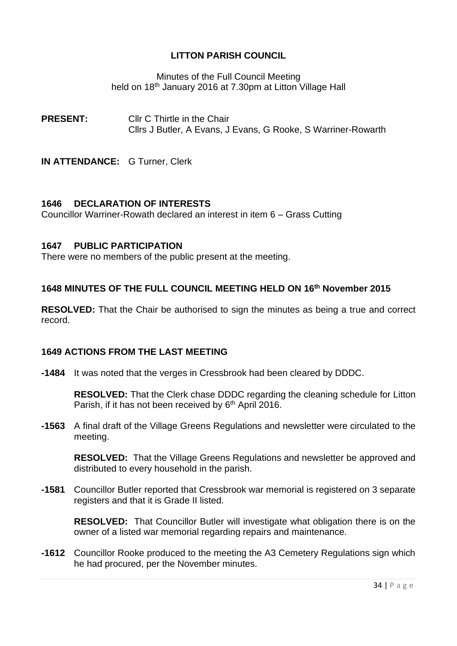Minutes of the Full Council Meeting held on 18<sup>th</sup> January 2016 at 7.30pm at Litton Village Hall

**PRESENT:** Cllr C Thirtle in the Chair Cllrs J Butler, A Evans, J Evans, G Rooke, S Warriner-Rowarth

**IN ATTENDANCE:** G Turner, Clerk

#### **1646 DECLARATION OF INTERESTS**

Councillor Warriner-Rowath declared an interest in item 6 – Grass Cutting

#### **1647 PUBLIC PARTICIPATION**

There were no members of the public present at the meeting.

### **1648 MINUTES OF THE FULL COUNCIL MEETING HELD ON 16 th November 2015**

**RESOLVED:** That the Chair be authorised to sign the minutes as being a true and correct record.

#### **1649 ACTIONS FROM THE LAST MEETING**

**-1484** It was noted that the verges in Cressbrook had been cleared by DDDC.

**RESOLVED:** That the Clerk chase DDDC regarding the cleaning schedule for Litton Parish, if it has not been received by 6<sup>th</sup> April 2016.

**-1563** A final draft of the Village Greens Regulations and newsletter were circulated to the meeting.

**RESOLVED:** That the Village Greens Regulations and newsletter be approved and distributed to every household in the parish.

**-1581** Councillor Butler reported that Cressbrook war memorial is registered on 3 separate registers and that it is Grade II listed.

**RESOLVED:** That Councillor Butler will investigate what obligation there is on the owner of a listed war memorial regarding repairs and maintenance.

**-1612** Councillor Rooke produced to the meeting the A3 Cemetery Regulations sign which he had procured, per the November minutes.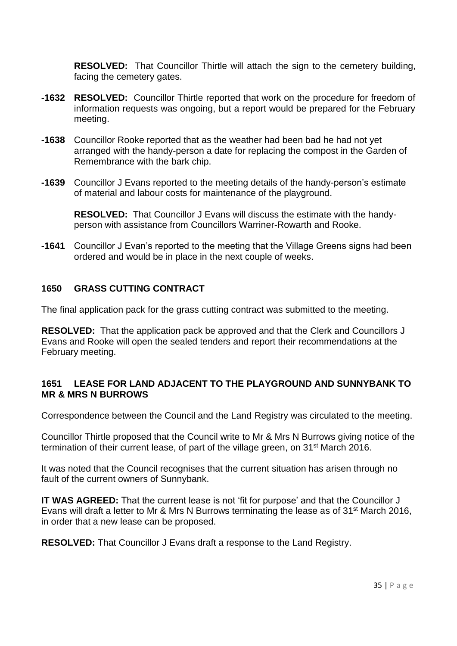**RESOLVED:** That Councillor Thirtle will attach the sign to the cemetery building, facing the cemetery gates.

- **-1632 RESOLVED:** Councillor Thirtle reported that work on the procedure for freedom of information requests was ongoing, but a report would be prepared for the February meeting.
- **-1638** Councillor Rooke reported that as the weather had been bad he had not yet arranged with the handy-person a date for replacing the compost in the Garden of Remembrance with the bark chip.
- **-1639** Councillor J Evans reported to the meeting details of the handy-person's estimate of material and labour costs for maintenance of the playground.

**RESOLVED:** That Councillor J Evans will discuss the estimate with the handyperson with assistance from Councillors Warriner-Rowarth and Rooke.

**-1641** Councillor J Evan's reported to the meeting that the Village Greens signs had been ordered and would be in place in the next couple of weeks.

## **1650 GRASS CUTTING CONTRACT**

The final application pack for the grass cutting contract was submitted to the meeting.

**RESOLVED:** That the application pack be approved and that the Clerk and Councillors J Evans and Rooke will open the sealed tenders and report their recommendations at the February meeting.

#### **1651 LEASE FOR LAND ADJACENT TO THE PLAYGROUND AND SUNNYBANK TO MR & MRS N BURROWS**

Correspondence between the Council and the Land Registry was circulated to the meeting.

Councillor Thirtle proposed that the Council write to Mr & Mrs N Burrows giving notice of the termination of their current lease, of part of the village green, on 31st March 2016.

It was noted that the Council recognises that the current situation has arisen through no fault of the current owners of Sunnybank.

**IT WAS AGREED:** That the current lease is not 'fit for purpose' and that the Councillor J Evans will draft a letter to Mr & Mrs N Burrows terminating the lease as of 31st March 2016, in order that a new lease can be proposed.

**RESOLVED:** That Councillor J Evans draft a response to the Land Registry.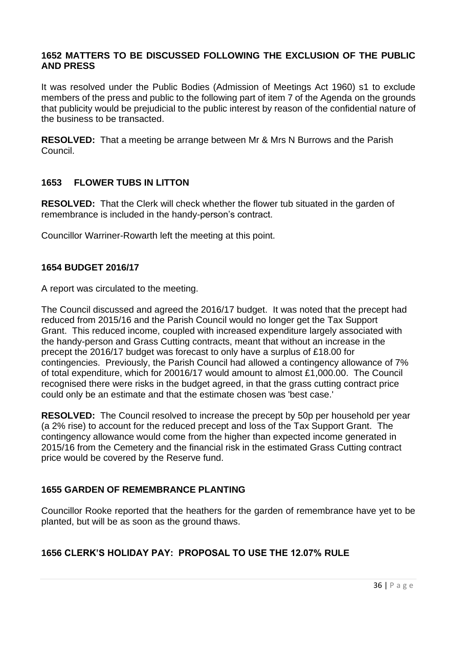#### **1652 MATTERS TO BE DISCUSSED FOLLOWING THE EXCLUSION OF THE PUBLIC AND PRESS**

It was resolved under the Public Bodies (Admission of Meetings Act 1960) s1 to exclude members of the press and public to the following part of item 7 of the Agenda on the grounds that publicity would be prejudicial to the public interest by reason of the confidential nature of the business to be transacted.

**RESOLVED:** That a meeting be arrange between Mr & Mrs N Burrows and the Parish Council.

### **1653 FLOWER TUBS IN LITTON**

**RESOLVED:** That the Clerk will check whether the flower tub situated in the garden of remembrance is included in the handy-person's contract.

Councillor Warriner-Rowarth left the meeting at this point.

#### **1654 BUDGET 2016/17**

A report was circulated to the meeting.

The Council discussed and agreed the 2016/17 budget. It was noted that the precept had reduced from 2015/16 and the Parish Council would no longer get the Tax Support Grant. This reduced income, coupled with increased expenditure largely associated with the handy-person and Grass Cutting contracts, meant that without an increase in the precept the 2016/17 budget was forecast to only have a surplus of £18.00 for contingencies. Previously, the Parish Council had allowed a contingency allowance of 7% of total expenditure, which for 20016/17 would amount to almost £1,000.00. The Council recognised there were risks in the budget agreed, in that the grass cutting contract price could only be an estimate and that the estimate chosen was 'best case.'

**RESOLVED:** The Council resolved to increase the precept by 50p per household per year (a 2% rise) to account for the reduced precept and loss of the Tax Support Grant. The contingency allowance would come from the higher than expected income generated in 2015/16 from the Cemetery and the financial risk in the estimated Grass Cutting contract price would be covered by the Reserve fund.

#### **1655 GARDEN OF REMEMBRANCE PLANTING**

Councillor Rooke reported that the heathers for the garden of remembrance have yet to be planted, but will be as soon as the ground thaws.

## **1656 CLERK'S HOLIDAY PAY: PROPOSAL TO USE THE 12.07% RULE**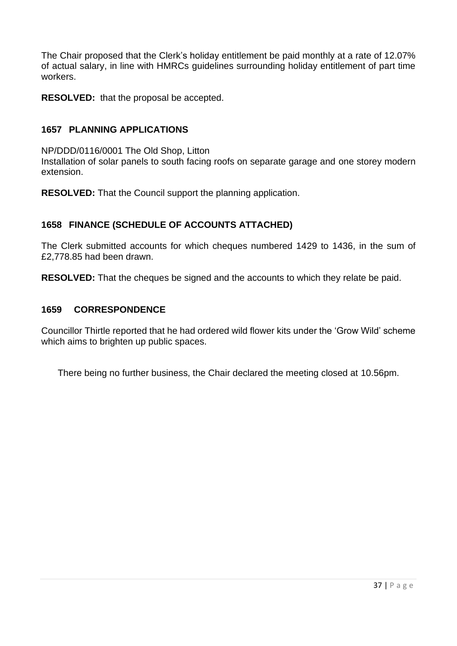The Chair proposed that the Clerk's holiday entitlement be paid monthly at a rate of 12.07% of actual salary, in line with HMRCs guidelines surrounding holiday entitlement of part time workers.

**RESOLVED:** that the proposal be accepted.

### **1657 PLANNING APPLICATIONS**

NP/DDD/0116/0001 The Old Shop, Litton Installation of solar panels to south facing roofs on separate garage and one storey modern extension.

**RESOLVED:** That the Council support the planning application.

## **1658 FINANCE (SCHEDULE OF ACCOUNTS ATTACHED)**

The Clerk submitted accounts for which cheques numbered 1429 to 1436, in the sum of £2,778.85 had been drawn.

**RESOLVED:** That the cheques be signed and the accounts to which they relate be paid.

#### **1659 CORRESPONDENCE**

Councillor Thirtle reported that he had ordered wild flower kits under the 'Grow Wild' scheme which aims to brighten up public spaces.

There being no further business, the Chair declared the meeting closed at 10.56pm.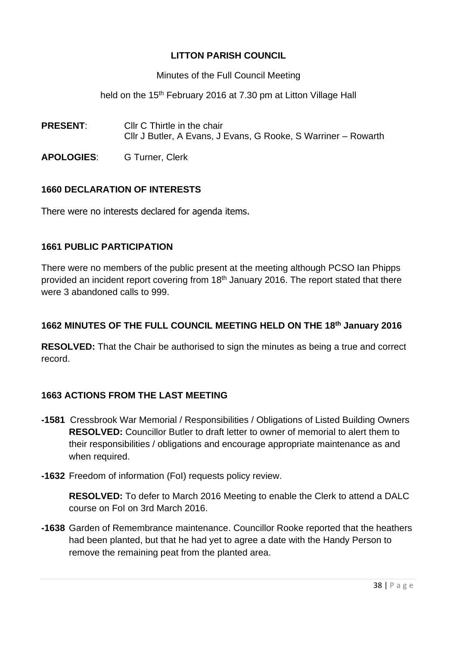Minutes of the Full Council Meeting

held on the 15<sup>th</sup> February 2016 at 7.30 pm at Litton Village Hall

- **PRESENT:** Cllr C Thirtle in the chair Cllr J Butler, A Evans, J Evans, G Rooke, S Warriner – Rowarth
- **APOLOGIES**: G Turner, Clerk

## **1660 DECLARATION OF INTERESTS**

There were no interests declared for agenda items.

### **1661 PUBLIC PARTICIPATION**

There were no members of the public present at the meeting although PCSO Ian Phipps provided an incident report covering from 18<sup>th</sup> January 2016. The report stated that there were 3 abandoned calls to 999.

## **1662 MINUTES OF THE FULL COUNCIL MEETING HELD ON THE 18th January 2016**

**RESOLVED:** That the Chair be authorised to sign the minutes as being a true and correct record.

## **1663 ACTIONS FROM THE LAST MEETING**

- **-1581** Cressbrook War Memorial / Responsibilities / Obligations of Listed Building Owners **RESOLVED:** Councillor Butler to draft letter to owner of memorial to alert them to their responsibilities / obligations and encourage appropriate maintenance as and when required.
- **-1632** Freedom of information (FoI) requests policy review.

**RESOLVED:** To defer to March 2016 Meeting to enable the Clerk to attend a DALC course on FoI on 3rd March 2016.

**-1638** Garden of Remembrance maintenance. Councillor Rooke reported that the heathers had been planted, but that he had yet to agree a date with the Handy Person to remove the remaining peat from the planted area.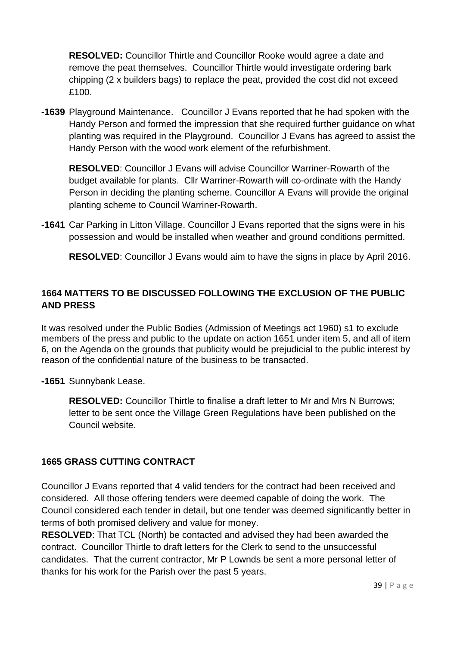**RESOLVED:** Councillor Thirtle and Councillor Rooke would agree a date and remove the peat themselves. Councillor Thirtle would investigate ordering bark chipping (2 x builders bags) to replace the peat, provided the cost did not exceed £100.

**-1639** Playground Maintenance. Councillor J Evans reported that he had spoken with the Handy Person and formed the impression that she required further guidance on what planting was required in the Playground. Councillor J Evans has agreed to assist the Handy Person with the wood work element of the refurbishment.

**RESOLVED**: Councillor J Evans will advise Councillor Warriner-Rowarth of the budget available for plants. Cllr Warriner-Rowarth will co-ordinate with the Handy Person in deciding the planting scheme. Councillor A Evans will provide the original planting scheme to Council Warriner-Rowarth.

**-1641** Car Parking in Litton Village. Councillor J Evans reported that the signs were in his possession and would be installed when weather and ground conditions permitted.

**RESOLVED**: Councillor J Evans would aim to have the signs in place by April 2016.

## **1664 MATTERS TO BE DISCUSSED FOLLOWING THE EXCLUSION OF THE PUBLIC AND PRESS**

It was resolved under the Public Bodies (Admission of Meetings act 1960) s1 to exclude members of the press and public to the update on action 1651 under item 5, and all of item 6, on the Agenda on the grounds that publicity would be prejudicial to the public interest by reason of the confidential nature of the business to be transacted.

**-1651** Sunnybank Lease.

**RESOLVED:** Councillor Thirtle to finalise a draft letter to Mr and Mrs N Burrows; letter to be sent once the Village Green Regulations have been published on the Council website.

## **1665 GRASS CUTTING CONTRACT**

Councillor J Evans reported that 4 valid tenders for the contract had been received and considered. All those offering tenders were deemed capable of doing the work. The Council considered each tender in detail, but one tender was deemed significantly better in terms of both promised delivery and value for money.

**RESOLVED**: That TCL (North) be contacted and advised they had been awarded the contract. Councillor Thirtle to draft letters for the Clerk to send to the unsuccessful candidates. That the current contractor, Mr P Lownds be sent a more personal letter of thanks for his work for the Parish over the past 5 years.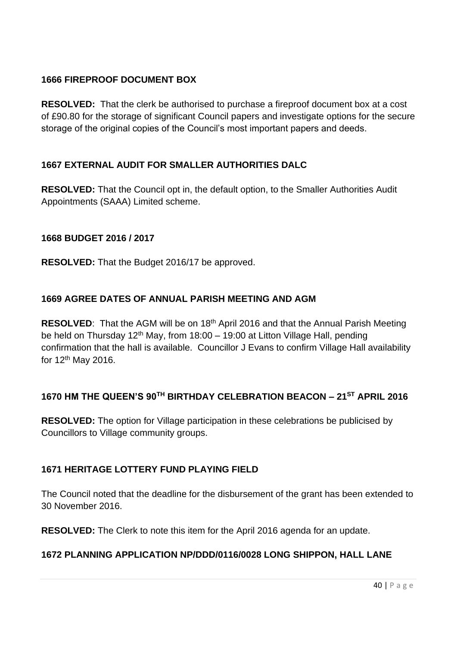## **1666 FIREPROOF DOCUMENT BOX**

**RESOLVED:** That the clerk be authorised to purchase a fireproof document box at a cost of £90.80 for the storage of significant Council papers and investigate options for the secure storage of the original copies of the Council's most important papers and deeds.

## **1667 EXTERNAL AUDIT FOR SMALLER AUTHORITIES DALC**

**RESOLVED:** That the Council opt in, the default option, to the Smaller Authorities Audit Appointments (SAAA) Limited scheme.

## **1668 BUDGET 2016 / 2017**

**RESOLVED:** That the Budget 2016/17 be approved.

## **1669 AGREE DATES OF ANNUAL PARISH MEETING AND AGM**

**RESOLVED:** That the AGM will be on 18<sup>th</sup> April 2016 and that the Annual Parish Meeting be held on Thursday 12<sup>th</sup> May, from 18:00 – 19:00 at Litton Village Hall, pending confirmation that the hall is available. Councillor J Evans to confirm Village Hall availability for 12th May 2016.

# **1670 HM THE QUEEN'S 90TH BIRTHDAY CELEBRATION BEACON – 21ST APRIL 2016**

**RESOLVED:** The option for Village participation in these celebrations be publicised by Councillors to Village community groups.

## **1671 HERITAGE LOTTERY FUND PLAYING FIELD**

The Council noted that the deadline for the disbursement of the grant has been extended to 30 November 2016.

**RESOLVED:** The Clerk to note this item for the April 2016 agenda for an update.

## **1672 PLANNING APPLICATION NP/DDD/0116/0028 LONG SHIPPON, HALL LANE**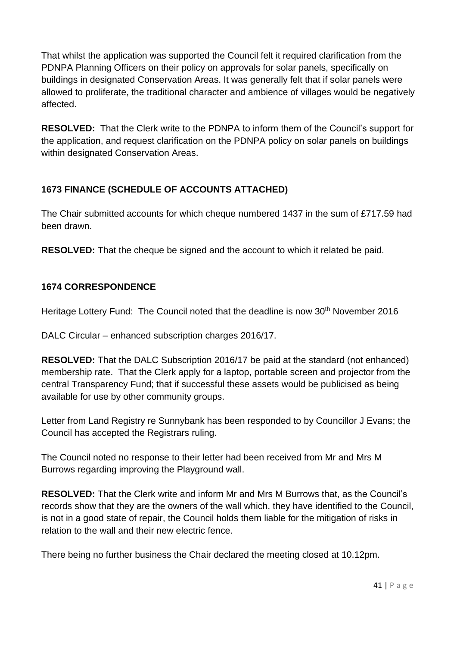That whilst the application was supported the Council felt it required clarification from the PDNPA Planning Officers on their policy on approvals for solar panels, specifically on buildings in designated Conservation Areas. It was generally felt that if solar panels were allowed to proliferate, the traditional character and ambience of villages would be negatively affected.

**RESOLVED:** That the Clerk write to the PDNPA to inform them of the Council's support for the application, and request clarification on the PDNPA policy on solar panels on buildings within designated Conservation Areas.

## **1673 FINANCE (SCHEDULE OF ACCOUNTS ATTACHED)**

The Chair submitted accounts for which cheque numbered 1437 in the sum of £717.59 had been drawn.

**RESOLVED:** That the cheque be signed and the account to which it related be paid.

## **1674 CORRESPONDENCE**

Heritage Lottery Fund: The Council noted that the deadline is now 30<sup>th</sup> November 2016

DALC Circular – enhanced subscription charges 2016/17.

**RESOLVED:** That the DALC Subscription 2016/17 be paid at the standard (not enhanced) membership rate. That the Clerk apply for a laptop, portable screen and projector from the central Transparency Fund; that if successful these assets would be publicised as being available for use by other community groups.

Letter from Land Registry re Sunnybank has been responded to by Councillor J Evans; the Council has accepted the Registrars ruling.

The Council noted no response to their letter had been received from Mr and Mrs M Burrows regarding improving the Playground wall.

**RESOLVED:** That the Clerk write and inform Mr and Mrs M Burrows that, as the Council's records show that they are the owners of the wall which, they have identified to the Council, is not in a good state of repair, the Council holds them liable for the mitigation of risks in relation to the wall and their new electric fence.

There being no further business the Chair declared the meeting closed at 10.12pm.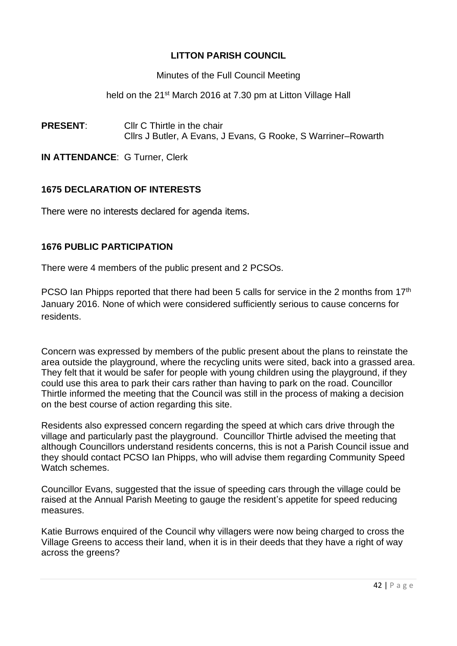Minutes of the Full Council Meeting

held on the 21<sup>st</sup> March 2016 at 7.30 pm at Litton Village Hall

**PRESENT:** Cllr C Thirtle in the chair Cllrs J Butler, A Evans, J Evans, G Rooke, S Warriner–Rowarth

**IN ATTENDANCE**: G Turner, Clerk

## **1675 DECLARATION OF INTERESTS**

There were no interests declared for agenda items.

### **1676 PUBLIC PARTICIPATION**

There were 4 members of the public present and 2 PCSOs.

PCSO Ian Phipps reported that there had been 5 calls for service in the 2 months from 17<sup>th</sup> January 2016. None of which were considered sufficiently serious to cause concerns for residents.

Concern was expressed by members of the public present about the plans to reinstate the area outside the playground, where the recycling units were sited, back into a grassed area. They felt that it would be safer for people with young children using the playground, if they could use this area to park their cars rather than having to park on the road. Councillor Thirtle informed the meeting that the Council was still in the process of making a decision on the best course of action regarding this site.

Residents also expressed concern regarding the speed at which cars drive through the village and particularly past the playground. Councillor Thirtle advised the meeting that although Councillors understand residents concerns, this is not a Parish Council issue and they should contact PCSO Ian Phipps, who will advise them regarding Community Speed Watch schemes.

Councillor Evans, suggested that the issue of speeding cars through the village could be raised at the Annual Parish Meeting to gauge the resident's appetite for speed reducing measures.

Katie Burrows enquired of the Council why villagers were now being charged to cross the Village Greens to access their land, when it is in their deeds that they have a right of way across the greens?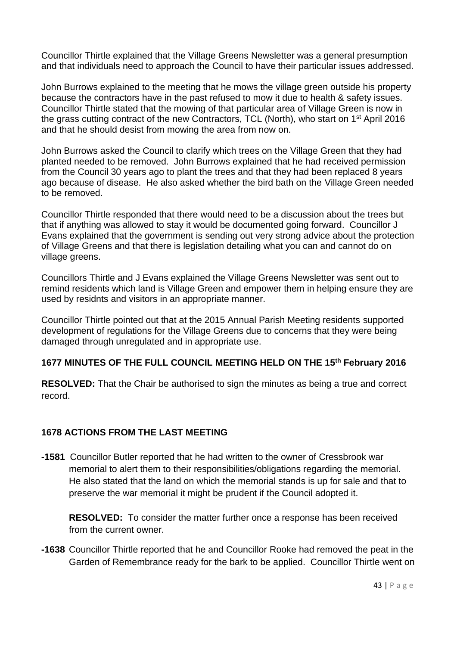Councillor Thirtle explained that the Village Greens Newsletter was a general presumption and that individuals need to approach the Council to have their particular issues addressed.

John Burrows explained to the meeting that he mows the village green outside his property because the contractors have in the past refused to mow it due to health & safety issues. Councillor Thirtle stated that the mowing of that particular area of Village Green is now in the grass cutting contract of the new Contractors, TCL (North), who start on 1st April 2016 and that he should desist from mowing the area from now on.

John Burrows asked the Council to clarify which trees on the Village Green that they had planted needed to be removed. John Burrows explained that he had received permission from the Council 30 years ago to plant the trees and that they had been replaced 8 years ago because of disease. He also asked whether the bird bath on the Village Green needed to be removed.

Councillor Thirtle responded that there would need to be a discussion about the trees but that if anything was allowed to stay it would be documented going forward. Councillor J Evans explained that the government is sending out very strong advice about the protection of Village Greens and that there is legislation detailing what you can and cannot do on village greens.

Councillors Thirtle and J Evans explained the Village Greens Newsletter was sent out to remind residents which land is Village Green and empower them in helping ensure they are used by residnts and visitors in an appropriate manner.

Councillor Thirtle pointed out that at the 2015 Annual Parish Meeting residents supported development of regulations for the Village Greens due to concerns that they were being damaged through unregulated and in appropriate use.

## **1677 MINUTES OF THE FULL COUNCIL MEETING HELD ON THE 15 th February 2016**

**RESOLVED:** That the Chair be authorised to sign the minutes as being a true and correct record.

## **1678 ACTIONS FROM THE LAST MEETING**

**-1581** Councillor Butler reported that he had written to the owner of Cressbrook war memorial to alert them to their responsibilities/obligations regarding the memorial. He also stated that the land on which the memorial stands is up for sale and that to preserve the war memorial it might be prudent if the Council adopted it.

**RESOLVED:** To consider the matter further once a response has been received from the current owner.

**-1638** Councillor Thirtle reported that he and Councillor Rooke had removed the peat in the Garden of Remembrance ready for the bark to be applied. Councillor Thirtle went on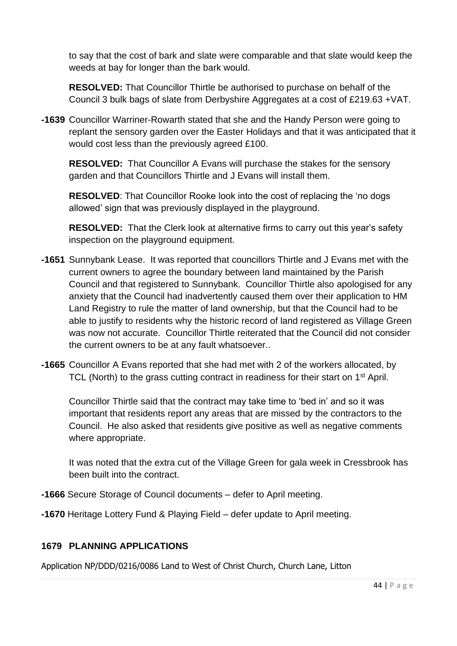to say that the cost of bark and slate were comparable and that slate would keep the weeds at bay for longer than the bark would.

**RESOLVED:** That Councillor Thirtle be authorised to purchase on behalf of the Council 3 bulk bags of slate from Derbyshire Aggregates at a cost of £219.63 +VAT.

**-1639** Councillor Warriner-Rowarth stated that she and the Handy Person were going to replant the sensory garden over the Easter Holidays and that it was anticipated that it would cost less than the previously agreed £100.

**RESOLVED:** That Councillor A Evans will purchase the stakes for the sensory garden and that Councillors Thirtle and J Evans will install them.

**RESOLVED**: That Councillor Rooke look into the cost of replacing the 'no dogs allowed' sign that was previously displayed in the playground.

**RESOLVED:** That the Clerk look at alternative firms to carry out this year's safety inspection on the playground equipment.

- **-1651** Sunnybank Lease. It was reported that councillors Thirtle and J Evans met with the current owners to agree the boundary between land maintained by the Parish Council and that registered to Sunnybank. Councillor Thirtle also apologised for any anxiety that the Council had inadvertently caused them over their application to HM Land Registry to rule the matter of land ownership, but that the Council had to be able to justify to residents why the historic record of land registered as Village Green was now not accurate. Councillor Thirtle reiterated that the Council did not consider the current owners to be at any fault whatsoever..
- **-1665** Councillor A Evans reported that she had met with 2 of the workers allocated, by TCL (North) to the grass cutting contract in readiness for their start on 1<sup>st</sup> April.

Councillor Thirtle said that the contract may take time to 'bed in' and so it was important that residents report any areas that are missed by the contractors to the Council. He also asked that residents give positive as well as negative comments where appropriate.

It was noted that the extra cut of the Village Green for gala week in Cressbrook has been built into the contract.

- **-1666** Secure Storage of Council documents defer to April meeting.
- **-1670** Heritage Lottery Fund & Playing Field defer update to April meeting.

## **1679 PLANNING APPLICATIONS**

Application NP/DDD/0216/0086 Land to West of Christ Church, Church Lane, Litton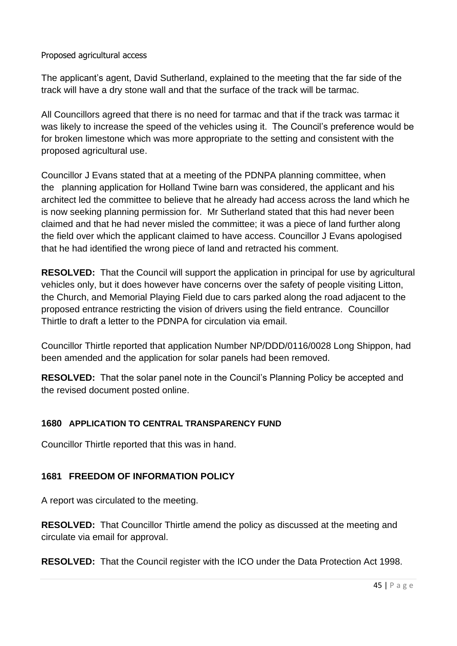#### Proposed agricultural access

The applicant's agent, David Sutherland, explained to the meeting that the far side of the track will have a dry stone wall and that the surface of the track will be tarmac.

All Councillors agreed that there is no need for tarmac and that if the track was tarmac it was likely to increase the speed of the vehicles using it. The Council's preference would be for broken limestone which was more appropriate to the setting and consistent with the proposed agricultural use.

Councillor J Evans stated that at a meeting of the PDNPA planning committee, when the planning application for Holland Twine barn was considered, the applicant and his architect led the committee to believe that he already had access across the land which he is now seeking planning permission for. Mr Sutherland stated that this had never been claimed and that he had never misled the committee; it was a piece of land further along the field over which the applicant claimed to have access. Councillor J Evans apologised that he had identified the wrong piece of land and retracted his comment.

**RESOLVED:** That the Council will support the application in principal for use by agricultural vehicles only, but it does however have concerns over the safety of people visiting Litton, the Church, and Memorial Playing Field due to cars parked along the road adjacent to the proposed entrance restricting the vision of drivers using the field entrance. Councillor Thirtle to draft a letter to the PDNPA for circulation via email.

Councillor Thirtle reported that application Number NP/DDD/0116/0028 Long Shippon, had been amended and the application for solar panels had been removed.

**RESOLVED:** That the solar panel note in the Council's Planning Policy be accepted and the revised document posted online.

## **1680 APPLICATION TO CENTRAL TRANSPARENCY FUND**

Councillor Thirtle reported that this was in hand.

## **1681 FREEDOM OF INFORMATION POLICY**

A report was circulated to the meeting.

**RESOLVED:** That Councillor Thirtle amend the policy as discussed at the meeting and circulate via email for approval.

**RESOLVED:** That the Council register with the ICO under the Data Protection Act 1998.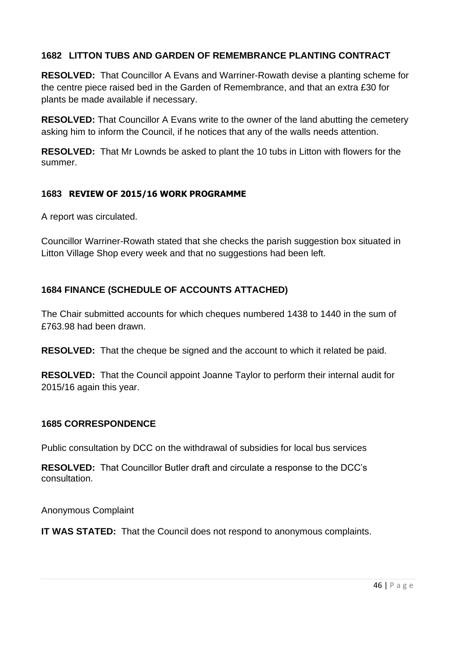## **1682 LITTON TUBS AND GARDEN OF REMEMBRANCE PLANTING CONTRACT**

**RESOLVED:** That Councillor A Evans and Warriner-Rowath devise a planting scheme for the centre piece raised bed in the Garden of Remembrance, and that an extra £30 for plants be made available if necessary.

**RESOLVED:** That Councillor A Evans write to the owner of the land abutting the cemetery asking him to inform the Council, if he notices that any of the walls needs attention.

**RESOLVED:** That Mr Lownds be asked to plant the 10 tubs in Litton with flowers for the summer.

## **1683 REVIEW OF 2015/16 WORK PROGRAMME**

A report was circulated.

Councillor Warriner-Rowath stated that she checks the parish suggestion box situated in Litton Village Shop every week and that no suggestions had been left.

## **1684 FINANCE (SCHEDULE OF ACCOUNTS ATTACHED)**

The Chair submitted accounts for which cheques numbered 1438 to 1440 in the sum of £763.98 had been drawn.

**RESOLVED:** That the cheque be signed and the account to which it related be paid.

**RESOLVED:** That the Council appoint Joanne Taylor to perform their internal audit for 2015/16 again this year.

#### **1685 CORRESPONDENCE**

Public consultation by DCC on the withdrawal of subsidies for local bus services

**RESOLVED:** That Councillor Butler draft and circulate a response to the DCC's consultation.

Anonymous Complaint

**IT WAS STATED:** That the Council does not respond to anonymous complaints.